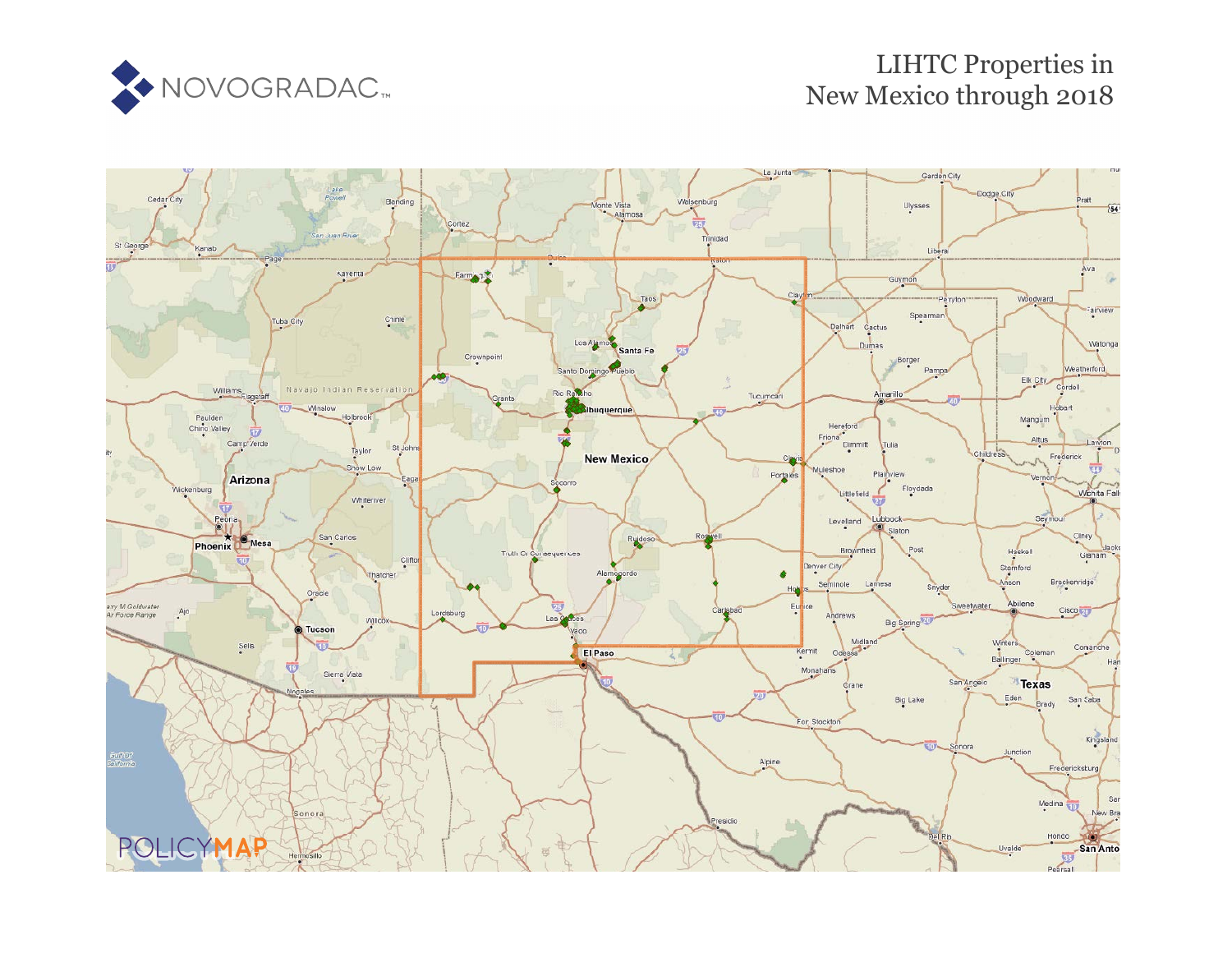

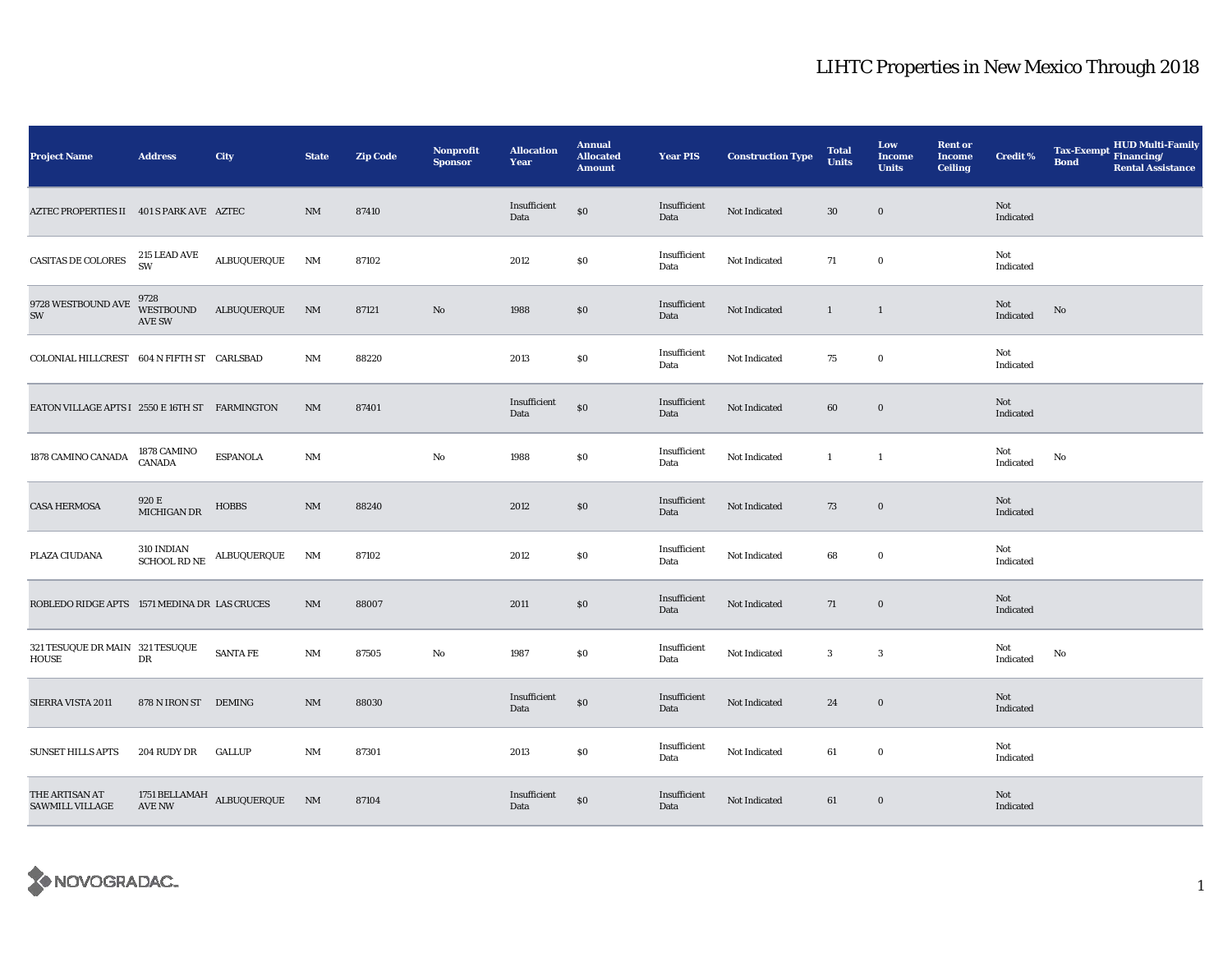| <b>Project Name</b>                            | <b>Address</b>                     | City                                                              | <b>State</b>  | <b>Zip Code</b> | <b>Nonprofit</b><br><b>Sponsor</b> | <b>Allocation</b><br>Year | <b>Annual</b><br><b>Allocated</b><br><b>Amount</b> | <b>Year PIS</b>      | <b>Construction Type</b> | <b>Total</b><br><b>Units</b> | Low<br><b>Income</b><br><b>Units</b> | <b>Rent or</b><br><b>Income</b><br><b>Ceiling</b> | <b>Credit %</b>         | <b>Tax-Exempt</b><br><b>Bond</b> | HUD Multi-Family<br>Financing/<br><b>Rental Assistance</b> |
|------------------------------------------------|------------------------------------|-------------------------------------------------------------------|---------------|-----------------|------------------------------------|---------------------------|----------------------------------------------------|----------------------|--------------------------|------------------------------|--------------------------------------|---------------------------------------------------|-------------------------|----------------------------------|------------------------------------------------------------|
| AZTEC PROPERTIES II 401 S PARK AVE AZTEC       |                                    |                                                                   | NM            | 87410           |                                    | Insufficient<br>Data      | $\$0$                                              | Insufficient<br>Data | Not Indicated            | 30                           | $\bf{0}$                             |                                                   | Not<br>Indicated        |                                  |                                                            |
| CASITAS DE COLORES                             | $215$ LEAD AVE SW                  | $\texttt{ALBUQUERQUE}$                                            | NM            | 87102           |                                    | 2012                      | $\$0$                                              | Insufficient<br>Data | Not Indicated            | 71                           | $\bf{0}$                             |                                                   | Not<br>Indicated        |                                  |                                                            |
| $9728$ WESTBOUND AVE $\,$<br>SW                | 9728<br>WESTBOUND<br><b>AVE SW</b> | ALBUQUERQUE                                                       | NM            | 87121           | No                                 | 1988                      | $\$0$                                              | Insufficient<br>Data | Not Indicated            | $\mathbf{1}$                 | $\mathbf{1}$                         |                                                   | Not<br>Indicated        | $\mathbf{No}$                    |                                                            |
| COLONIAL HILLCREST 604 N FIFTH ST CARLSBAD     |                                    |                                                                   | NM            | 88220           |                                    | 2013                      | \$0                                                | Insufficient<br>Data | Not Indicated            | 75                           | $\bf{0}$                             |                                                   | Not<br>Indicated        |                                  |                                                            |
| EATON VILLAGE APTS I 2550 E 16TH ST FARMINGTON |                                    |                                                                   | $\mathrm{NM}$ | 87401           |                                    | Insufficient<br>Data      | \$0                                                | Insufficient<br>Data | Not Indicated            | 60                           | $\boldsymbol{0}$                     |                                                   | Not<br>Indicated        |                                  |                                                            |
| 1878 CAMINO CANADA                             | 1878 CAMINO<br><b>CANADA</b>       | <b>ESPANOLA</b>                                                   | $\rm{NM}$     |                 | $\rm No$                           | 1988                      | $\$0$                                              | Insufficient<br>Data | Not Indicated            | $\mathbf{1}$                 | $\mathbf{1}$                         |                                                   | Not<br>Indicated        | No                               |                                                            |
| <b>CASA HERMOSA</b>                            | 920 E<br>MICHIGAN DR               | <b>HOBBS</b>                                                      | $\rm{NM}$     | 88240           |                                    | 2012                      | $\$0$                                              | Insufficient<br>Data | Not Indicated            | 73                           | $\mathbf 0$                          |                                                   | Not<br>Indicated        |                                  |                                                            |
| PLAZA CIUDANA                                  |                                    | $310$ INDIAN $$\hbox{\sc \&CHOOL}$ RD $\hbox{\sc \&}$ ALBUQUERQUE | NM            | 87102           |                                    | 2012                      | \$0                                                | Insufficient<br>Data | Not Indicated            | 68                           | $\bf{0}$                             |                                                   | Not<br>Indicated        |                                  |                                                            |
| ROBLEDO RIDGE APTS 1571 MEDINA DR LAS CRUCES   |                                    |                                                                   | $\rm{NM}$     | 88007           |                                    | 2011                      | $\$0$                                              | Insufficient<br>Data | Not Indicated            | 71                           | $\boldsymbol{0}$                     |                                                   | <b>Not</b><br>Indicated |                                  |                                                            |
| 321 TESUQUE DR MAIN 321 TESUQUE<br>HOUSE       | DR                                 | <b>SANTA FE</b>                                                   | NM            | 87505           | $\mathbf{No}$                      | 1987                      | \$0                                                | Insufficient<br>Data | Not Indicated            | $\mathbf{3}$                 | $\boldsymbol{3}$                     |                                                   | Not<br>Indicated        | No                               |                                                            |
| SIERRA VISTA 2011                              | 878 N IRON ST DEMING               |                                                                   | $\rm{NM}$     | 88030           |                                    | Insufficient<br>Data      | $\$0$                                              | Insufficient<br>Data | Not Indicated            | $\bf 24$                     | $\boldsymbol{0}$                     |                                                   | Not<br>Indicated        |                                  |                                                            |
| <b>SUNSET HILLS APTS</b>                       | 204 RUDY DR                        | <b>GALLUP</b>                                                     | $\rm{NM}$     | 87301           |                                    | 2013                      | \$0                                                | Insufficient<br>Data | Not Indicated            | 61                           | $\mathbf 0$                          |                                                   | Not<br>Indicated        |                                  |                                                            |
| THE ARTISAN AT<br><b>SAWMILL VILLAGE</b>       |                                    | 1751 BELLAMAH ALBUQUERQUE NM AVE NW                               |               | 87104           |                                    | Insufficient<br>Data      | $\$0$                                              | Insufficient<br>Data | Not Indicated            | 61                           | $\bf{0}$                             |                                                   | Not<br>Indicated        |                                  |                                                            |

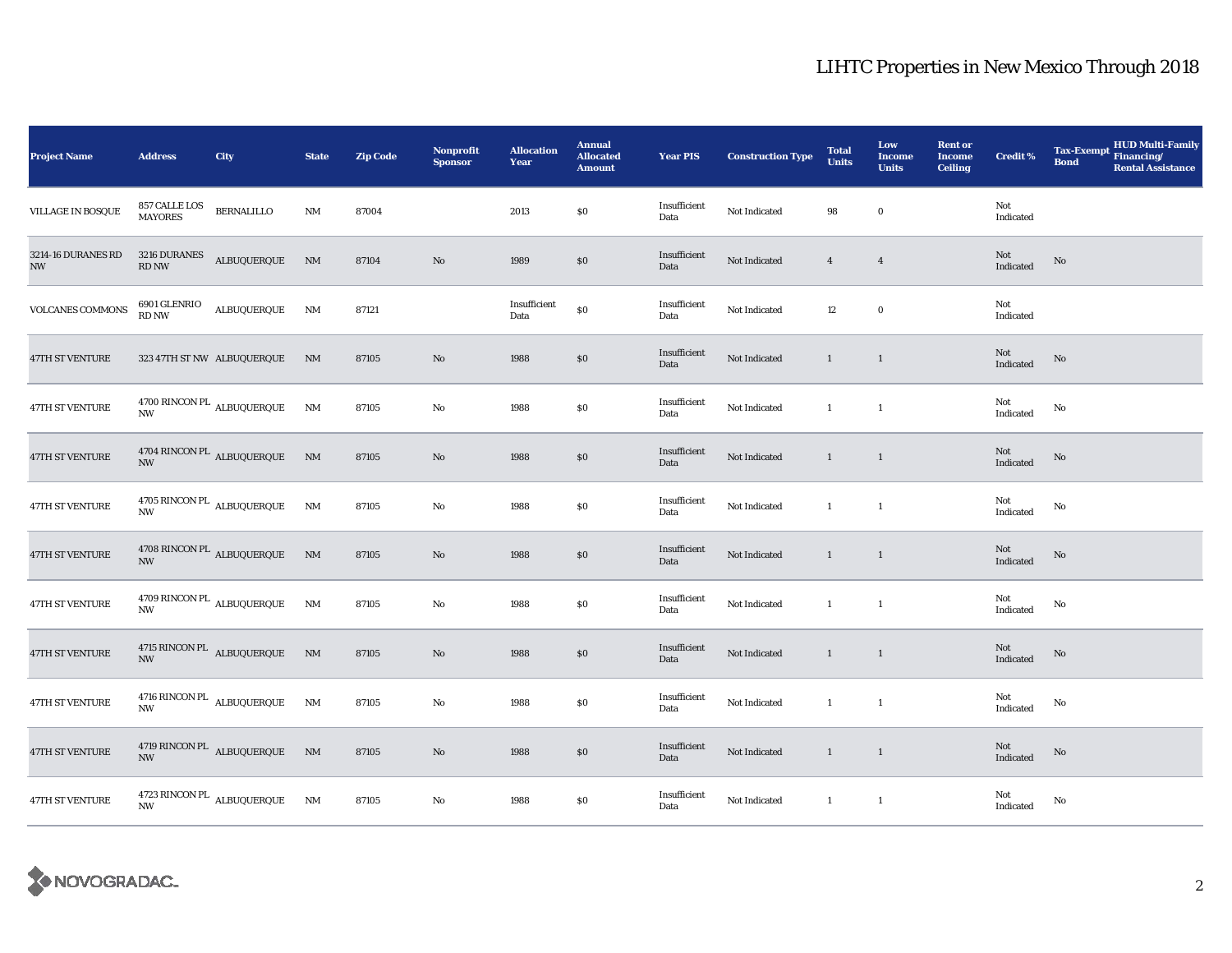| <b>Project Name</b>                            | <b>Address</b>                  | City                               | <b>State</b>   | <b>Zip Code</b> | <b>Nonprofit</b><br><b>Sponsor</b> | <b>Allocation</b><br>Year | <b>Annual</b><br><b>Allocated</b><br><b>Amount</b> | <b>Year PIS</b>      | <b>Construction Type</b> | <b>Total</b><br><b>Units</b> | Low<br><b>Income</b><br><b>Units</b> | <b>Rent or</b><br><b>Income</b><br><b>Ceiling</b> | <b>Credit %</b>  | <b>HUD Multi-Family</b><br><b>Tax-Exempt</b><br>Financing/<br><b>Bond</b><br><b>Rental Assistance</b> |
|------------------------------------------------|---------------------------------|------------------------------------|----------------|-----------------|------------------------------------|---------------------------|----------------------------------------------------|----------------------|--------------------------|------------------------------|--------------------------------------|---------------------------------------------------|------------------|-------------------------------------------------------------------------------------------------------|
| <b>VILLAGE IN BOSQUE</b>                       | 857 CALLE LOS<br><b>MAYORES</b> | <b>BERNALILLO</b>                  | $\rm{NM}$      | 87004           |                                    | 2013                      | \$0\$                                              | Insufficient<br>Data | Not Indicated            | 98                           | $\bf{0}$                             |                                                   | Not<br>Indicated |                                                                                                       |
| 3214-16 DURANES RD<br>$\ensuremath{\text{NW}}$ | $\mathop{\rm RD}\nolimits$ NW   | $3216$ DURANES $\quad$ ALBUQUERQUE | NM             | 87104           | No                                 | 1989                      | \$0                                                | Insufficient<br>Data | Not Indicated            | $\overline{4}$               | $\overline{4}$                       |                                                   | Not<br>Indicated | No                                                                                                    |
| <b>VOLCANES COMMONS</b>                        | 6901 GLENRIO<br>RD NW           | ALBUQUERQUE                        | NM             | 87121           |                                    | Insufficient<br>Data      | $\$0$                                              | Insufficient<br>Data | Not Indicated            | 12                           | $\mathbf 0$                          |                                                   | Not<br>Indicated |                                                                                                       |
| <b>47TH ST VENTURE</b>                         |                                 | 323 47TH ST NW ALBUQUERQUE         | NM             | 87105           | No                                 | 1988                      | \$0                                                | Insufficient<br>Data | Not Indicated            | $\mathbf{1}$                 | <sup>1</sup>                         |                                                   | Not<br>Indicated | No                                                                                                    |
| 47TH ST VENTURE                                | <b>NW</b>                       | 4700 RINCON PL $\,$ ALBUQUERQUE    | $\rm{NM}$      | 87105           | No                                 | 1988                      | \$0\$                                              | Insufficient<br>Data | Not Indicated            | $\mathbf{1}$                 | $\mathbf{1}$                         |                                                   | Not<br>Indicated | No                                                                                                    |
| <b>47TH ST VENTURE</b>                         | $\ensuremath{\text{NW}}$        | 4704 RINCON PL ALBUQUERQUE NM      |                | 87105           | No                                 | 1988                      | \$0\$                                              | Insufficient<br>Data | Not Indicated            | $\mathbf{1}$                 | $\overline{1}$                       |                                                   | Not<br>Indicated | No                                                                                                    |
| 47TH ST VENTURE                                | <b>NW</b>                       | $4705$ RINCON PL $\,$ ALBUQUERQUE  | NM             | 87105           | No                                 | 1988                      | \$0\$                                              | Insufficient<br>Data | Not Indicated            | $\mathbf{1}$                 | $\overline{1}$                       |                                                   | Not<br>Indicated | No                                                                                                    |
| 47TH ST VENTURE                                | <b>NW</b>                       | 4708 RINCON PL ALBUQUERQUE         | N <sub>M</sub> | 87105           | No                                 | 1988                      | \$0                                                | Insufficient<br>Data | Not Indicated            | $\mathbf{1}$                 | $\overline{1}$                       |                                                   | Not<br>Indicated | No                                                                                                    |
| <b>47TH ST VENTURE</b>                         | <b>NW</b>                       | $4709$ RINCON PL $\,$ ALBUQUERQUE  | NM             | 87105           | No                                 | 1988                      | \$0\$                                              | Insufficient<br>Data | Not Indicated            | $\mathbf{1}$                 | $\mathbf{1}$                         |                                                   | Not<br>Indicated | No                                                                                                    |
| 47TH ST VENTURE                                | <b>NW</b>                       | 4715 RINCON PL<br>ALBUQUERQUE      | N <sub>M</sub> | 87105           | No                                 | 1988                      | $\$0$                                              | Insufficient<br>Data | Not Indicated            | $\mathbf{1}$                 | $\mathbf{1}$                         |                                                   | Not<br>Indicated | $\rm No$                                                                                              |
| 47TH ST VENTURE                                | <b>NW</b>                       | 4716 RINCON PL ALBUQUERQUE         | NM             | 87105           | No                                 | 1988                      | \$0\$                                              | Insufficient<br>Data | Not Indicated            | $\mathbf{1}$                 | $\overline{1}$                       |                                                   | Not<br>Indicated | No                                                                                                    |
| <b>47TH ST VENTURE</b>                         | <b>NW</b>                       | 4719 RINCON PL ALBUQUERQUE         | N <sub>M</sub> | 87105           | No                                 | 1988                      | \$0\$                                              | Insufficient<br>Data | Not Indicated            | $\mathbf{1}$                 | $\overline{1}$                       |                                                   | Not<br>Indicated | $\rm No$                                                                                              |
| 47TH ST VENTURE                                | <b>NW</b>                       | 4723 RINCON PL $\,$ ALBUQUERQUE    | NM             | 87105           | No                                 | 1988                      | \$0\$                                              | Insufficient<br>Data | Not Indicated            | $\mathbf{1}$                 | $\overline{1}$                       |                                                   | Not<br>Indicated | No                                                                                                    |

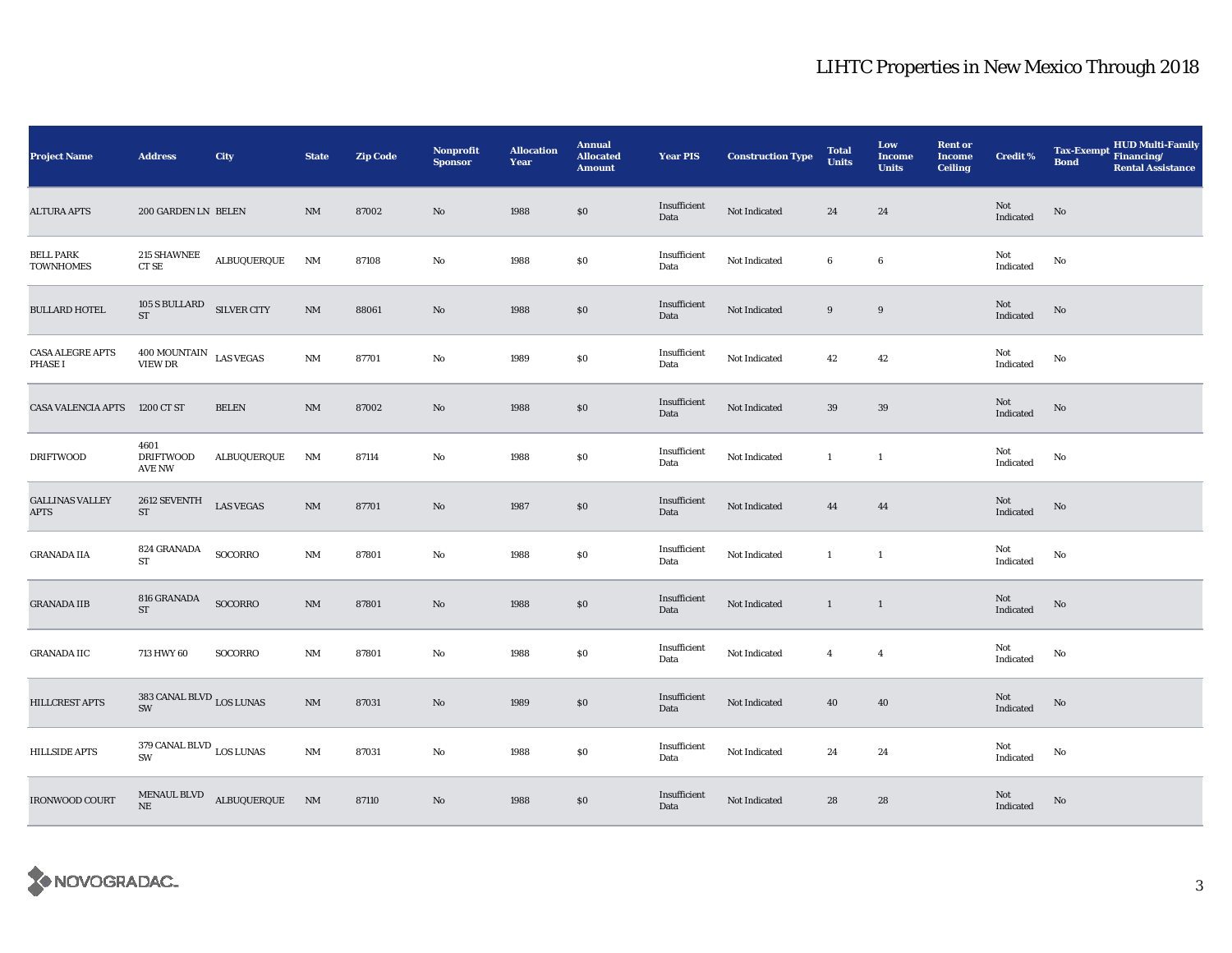| <b>Project Name</b>                       | <b>Address</b>                                 | City                                                                                                       | <b>State</b>           | <b>Zip Code</b> | <b>Nonprofit</b><br><b>Sponsor</b> | <b>Allocation</b><br>Year | <b>Annual</b><br><b>Allocated</b><br><b>Amount</b> | <b>Year PIS</b>      | <b>Construction Type</b> | <b>Total</b><br><b>Units</b> | Low<br><b>Income</b><br><b>Units</b> | <b>Rent or</b><br><b>Income</b><br><b>Ceiling</b> | <b>Credit %</b>                                   | Tax-Exempt HUD Multi-Family<br><b>Bond</b><br><b>Rental Assistance</b> |
|-------------------------------------------|------------------------------------------------|------------------------------------------------------------------------------------------------------------|------------------------|-----------------|------------------------------------|---------------------------|----------------------------------------------------|----------------------|--------------------------|------------------------------|--------------------------------------|---------------------------------------------------|---------------------------------------------------|------------------------------------------------------------------------|
| <b>ALTURA APTS</b>                        | 200 GARDEN LN BELEN                            |                                                                                                            | NM                     | 87002           | $\mathbf{No}$                      | 1988                      | \$0\$                                              | Insufficient<br>Data | Not Indicated            | 24                           | 24                                   |                                                   | Not<br>Indicated                                  | $\rm No$                                                               |
| <b>BELL PARK</b><br><b>TOWNHOMES</b>      | 215 SHAWNEE<br>CT SE                           | ALBUQUERQUE                                                                                                | NM                     | 87108           | $\mathbf{No}$                      | 1988                      | \$0\$                                              | Insufficient<br>Data | Not Indicated            | 6                            | $\boldsymbol{6}$                     |                                                   | Not<br>Indicated                                  | No                                                                     |
| <b>BULLARD HOTEL</b>                      | 105 S BULLARD SILVER CITY<br><b>ST</b>         |                                                                                                            | NM                     | 88061           | No                                 | 1988                      | $\$0$                                              | Insufficient<br>Data | Not Indicated            | 9                            | $\boldsymbol{9}$                     |                                                   | Not<br>Indicated                                  | No                                                                     |
| <b>CASA ALEGRE APTS</b><br><b>PHASE I</b> | $400\, \mbox{MOUNTAIN}\quad$ LAS VEGAS VIEW DR |                                                                                                            | $\rm{NM}$              | 87701           | No                                 | 1989                      | \$0\$                                              | Insufficient<br>Data | Not Indicated            | 42                           | 42                                   |                                                   | Not<br>Indicated                                  | No                                                                     |
| <b>CASA VALENCIA APTS</b>                 | 1200 CT ST                                     | <b>BELEN</b>                                                                                               | $\rm{NM}$              | 87002           | No                                 | 1988                      | \$0                                                | Insufficient<br>Data | Not Indicated            | 39                           | 39                                   |                                                   | Not<br>$\label{thm:indicated} \textbf{Indicated}$ | $\mathbf{No}$                                                          |
| <b>DRIFTWOOD</b>                          | 4601<br><b>DRIFTWOOD</b><br>AVE NW             | <b>ALBUQUERQUE</b>                                                                                         | NM                     | 87114           | No                                 | 1988                      | $\$0$                                              | Insufficient<br>Data | Not Indicated            | $\mathbf{1}$                 | $\mathbf{1}$                         |                                                   | Not<br>Indicated                                  | No                                                                     |
| <b>GALLINAS VALLEY</b><br><b>APTS</b>     | 2612 SEVENTH<br>$\operatorname{ST}$            | ${\rm LAS}$ VEGAS                                                                                          | $\rm{NM}$              | 87701           | No                                 | 1987                      | \$0                                                | Insufficient<br>Data | Not Indicated            | 44                           | 44                                   |                                                   | Not<br>Indicated                                  | $\mathbf{No}$                                                          |
| <b>GRANADA IIA</b>                        | 824 GRANADA<br>ST                              | SOCORRO                                                                                                    | NM                     | 87801           | No                                 | 1988                      | \$0                                                | Insufficient<br>Data | Not Indicated            | $\mathbf{1}$                 | $\mathbf{1}$                         |                                                   | Not<br>Indicated                                  | No                                                                     |
| <b>GRANADA IIB</b>                        | 816 GRANADA<br><b>ST</b>                       | SOCORRO                                                                                                    | $\mathbf{N}\mathbf{M}$ | 87801           | No                                 | 1988                      | $\$0$                                              | Insufficient<br>Data | Not Indicated            | $\mathbf{1}$                 | $\mathbf{1}$                         |                                                   | Not<br>$\label{thm:indicated} \textbf{Indicated}$ | $\rm No$                                                               |
| <b>GRANADA IIC</b>                        | 713 HWY 60                                     | SOCORRO                                                                                                    | $\rm{NM}$              | 87801           | No                                 | 1988                      | \$0\$                                              | Insufficient<br>Data | Not Indicated            | $\overline{4}$               | $\overline{4}$                       |                                                   | Not<br>Indicated                                  | No                                                                     |
| HILLCREST APTS                            | 383 CANAL BLVD $_{\rm LOS~LUNAS}$              |                                                                                                            | $\rm{NM}$              | 87031           | No                                 | 1989                      | \$0                                                | Insufficient<br>Data | Not Indicated            | 40                           | 40                                   |                                                   | Not<br>Indicated                                  | $\rm No$                                                               |
| HILLSIDE APTS                             | 379 CANAL BLVD $_{\rm LOS~LUNAS}$<br>SW        |                                                                                                            | $\rm{NM}$              | 87031           | No                                 | 1988                      | $\$0$                                              | Insufficient<br>Data | Not Indicated            | 24                           | 24                                   |                                                   | Not<br>Indicated                                  | No                                                                     |
| <b>IRONWOOD COURT</b>                     | NE                                             | $\begin{minipage}{0.9\linewidth} \textbf{MENAUL BLVD} & \textbf{ALBUQUERQUE} & \textbf{NM} \end{minipage}$ |                        | 87110           | No                                 | 1988                      | \$0                                                | Insufficient<br>Data | Not Indicated            | 28                           | 28                                   |                                                   | Not<br>Indicated                                  | No                                                                     |

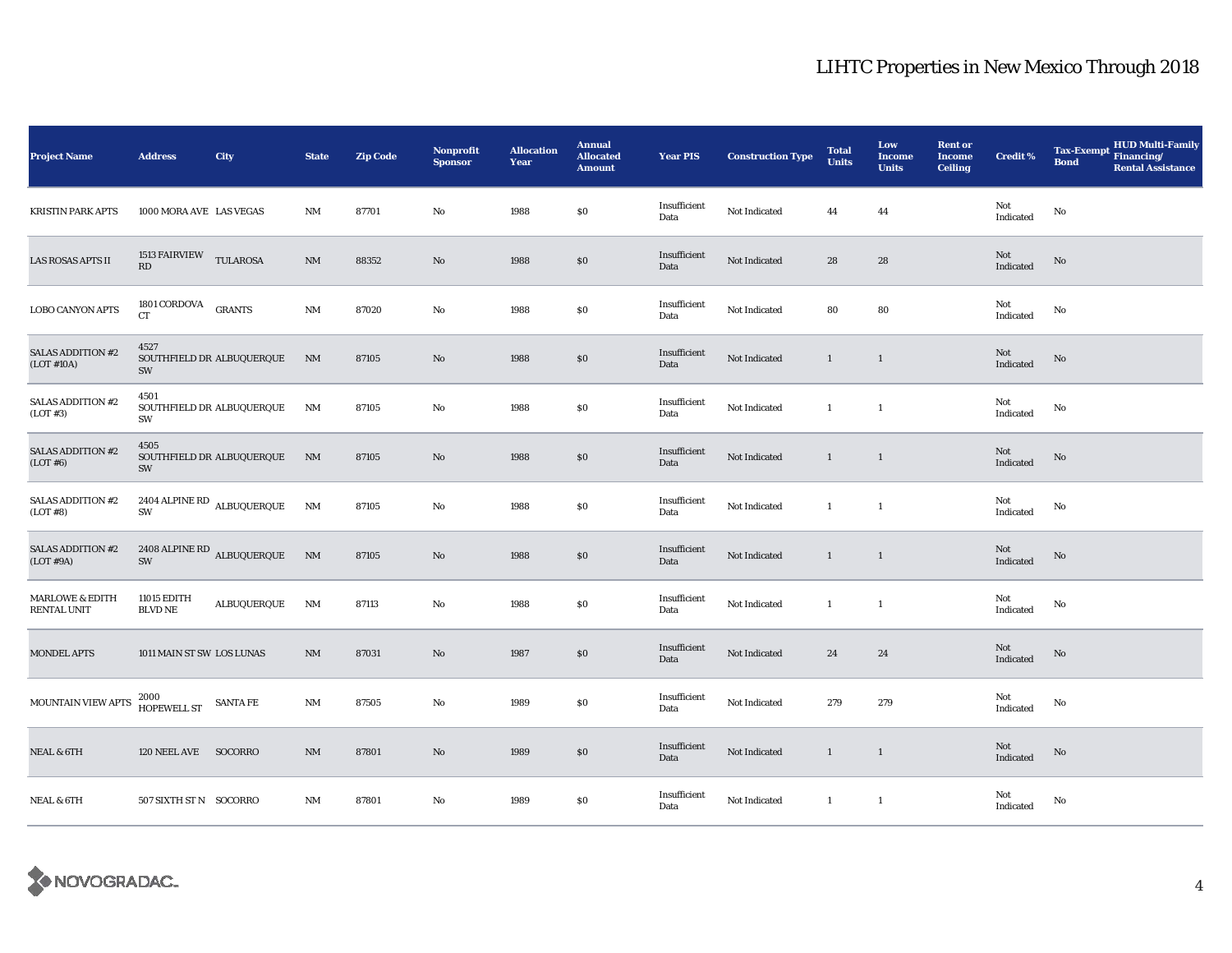| <b>Project Name</b>                              | <b>Address</b>                   | City                                 | <b>State</b>   | <b>Zip Code</b> | Nonprofit<br><b>Sponsor</b> | <b>Allocation</b><br>Year | <b>Annual</b><br><b>Allocated</b><br><b>Amount</b> | <b>Year PIS</b>      | <b>Construction Type</b> | <b>Total</b><br><b>Units</b> | Low<br><b>Income</b><br><b>Units</b> | <b>Rent or</b><br><b>Income</b><br><b>Ceiling</b> | <b>Credit %</b>                   | <b>HUD Multi-Family</b><br><b>Tax-Exempt</b><br>Financing/<br><b>Bond</b><br><b>Rental Assistance</b> |
|--------------------------------------------------|----------------------------------|--------------------------------------|----------------|-----------------|-----------------------------|---------------------------|----------------------------------------------------|----------------------|--------------------------|------------------------------|--------------------------------------|---------------------------------------------------|-----------------------------------|-------------------------------------------------------------------------------------------------------|
| <b>KRISTIN PARK APTS</b>                         | 1000 MORA AVE LAS VEGAS          |                                      | $\rm{NM}$      | 87701           | $\rm No$                    | 1988                      | $\$0$                                              | Insufficient<br>Data | Not Indicated            | 44                           | 44                                   |                                                   | Not<br>Indicated                  | $\rm No$                                                                                              |
| LAS ROSAS APTS II                                | 1513 FAIRVIEW TULAROSA<br>RD     |                                      | $\rm{NM}$      | 88352           | No                          | 1988                      | $\$0$                                              | Insufficient<br>Data | Not Indicated            | 28                           | 28                                   |                                                   | Not<br>Indicated                  | No                                                                                                    |
| <b>LOBO CANYON APTS</b>                          | 1801 CORDOVA GRANTS<br><b>CT</b> |                                      | $\rm{NM}$      | 87020           | $\rm No$                    | 1988                      | $\$0$                                              | Insufficient<br>Data | Not Indicated            | 80                           | 80                                   |                                                   | Not<br>$\operatorname{Indicated}$ | No                                                                                                    |
| SALAS ADDITION #2<br>(LOT #10A)                  | 4527<br>SW                       | SOUTHFIELD DR ALBUQUERQUE            | NM             | 87105           | No                          | 1988                      | \$0                                                | Insufficient<br>Data | Not Indicated            | $\mathbf{1}$                 | $\overline{1}$                       |                                                   | Not<br>Indicated                  | No                                                                                                    |
| SALAS ADDITION #2<br>(LOT#3)                     | 4501<br>SW                       | SOUTHFIELD DR ALBUQUERQUE            | NM             | 87105           | No                          | 1988                      | $\$0$                                              | Insufficient<br>Data | Not Indicated            | $\mathbf{1}$                 | $\mathbf{1}$                         |                                                   | Not<br>Indicated                  | No                                                                                                    |
| <b>SALAS ADDITION #2</b><br>(LOT#6)              | 4505<br>SW                       | SOUTHFIELD DR ALBUQUERQUE NM         |                | 87105           | No                          | 1988                      | $\$0$                                              | Insufficient<br>Data | Not Indicated            | $\mathbf{1}$                 | $\overline{1}$                       |                                                   | Not<br>Indicated                  | $\mathbf{N}\mathbf{o}$                                                                                |
| <b>SALAS ADDITION #2</b><br>(LOT#8)              | SW                               | 2404 ALPINE RD ALBUQUERQUE           | NM             | 87105           | No                          | 1988                      | $\$0$                                              | Insufficient<br>Data | Not Indicated            | $\mathbf{1}$                 | -1                                   |                                                   | Not<br>Indicated                  | $\mathbf{N}\mathbf{o}$                                                                                |
| <b>SALAS ADDITION #2</b><br>(LOT#9A)             |                                  | $2408$ ALPINE RD $\,$ ALBUQUERQUE SW | N <sub>M</sub> | 87105           | $\rm No$                    | 1988                      | $\$0$                                              | Insufficient<br>Data | Not Indicated            | $\mathbf{1}$                 | $\mathbf{1}$                         |                                                   | Not<br>Indicated                  | $\rm No$                                                                                              |
| <b>MARLOWE &amp; EDITH</b><br><b>RENTAL UNIT</b> | 11015 EDITH<br><b>BLVD NE</b>    | ALBUQUERQUE                          | NM             | 87113           | No                          | 1988                      | $\$0$                                              | Insufficient<br>Data | Not Indicated            | $\mathbf{1}$                 | $\mathbf{1}$                         |                                                   | Not<br>Indicated                  | No                                                                                                    |
| <b>MONDEL APTS</b>                               | 1011 MAIN ST SW LOS LUNAS        |                                      | $\rm{NM}$      | 87031           | No                          | 1987                      | \$0                                                | Insufficient<br>Data | Not Indicated            | 24                           | 24                                   |                                                   | Not<br>Indicated                  | $\rm No$                                                                                              |
| MOUNTAIN VIEW APTS                               | 2000<br>HOPEWELL ST SANTA FE     |                                      | $\mathbf{NM}$  | 87505           | No                          | 1989                      | $\$0$                                              | Insufficient<br>Data | Not Indicated            | 279                          | 279                                  |                                                   | Not<br>Indicated                  | No                                                                                                    |
| <b>NEAL &amp; 6TH</b>                            | 120 NEEL AVE SOCORRO             |                                      | $\rm{NM}$      | 87801           | No                          | 1989                      | $\$0$                                              | Insufficient<br>Data | Not Indicated            | $\mathbf{1}$                 | $\overline{1}$                       |                                                   | Not<br>Indicated                  | No                                                                                                    |
| <b>NEAL &amp; 6TH</b>                            | 507 SIXTH ST N SOCORRO           |                                      | NM             | 87801           | No                          | 1989                      | $\$0$                                              | Insufficient<br>Data | Not Indicated            | $\mathbf{1}$                 | $\mathbf{1}$                         |                                                   | Not<br>Indicated                  | No                                                                                                    |

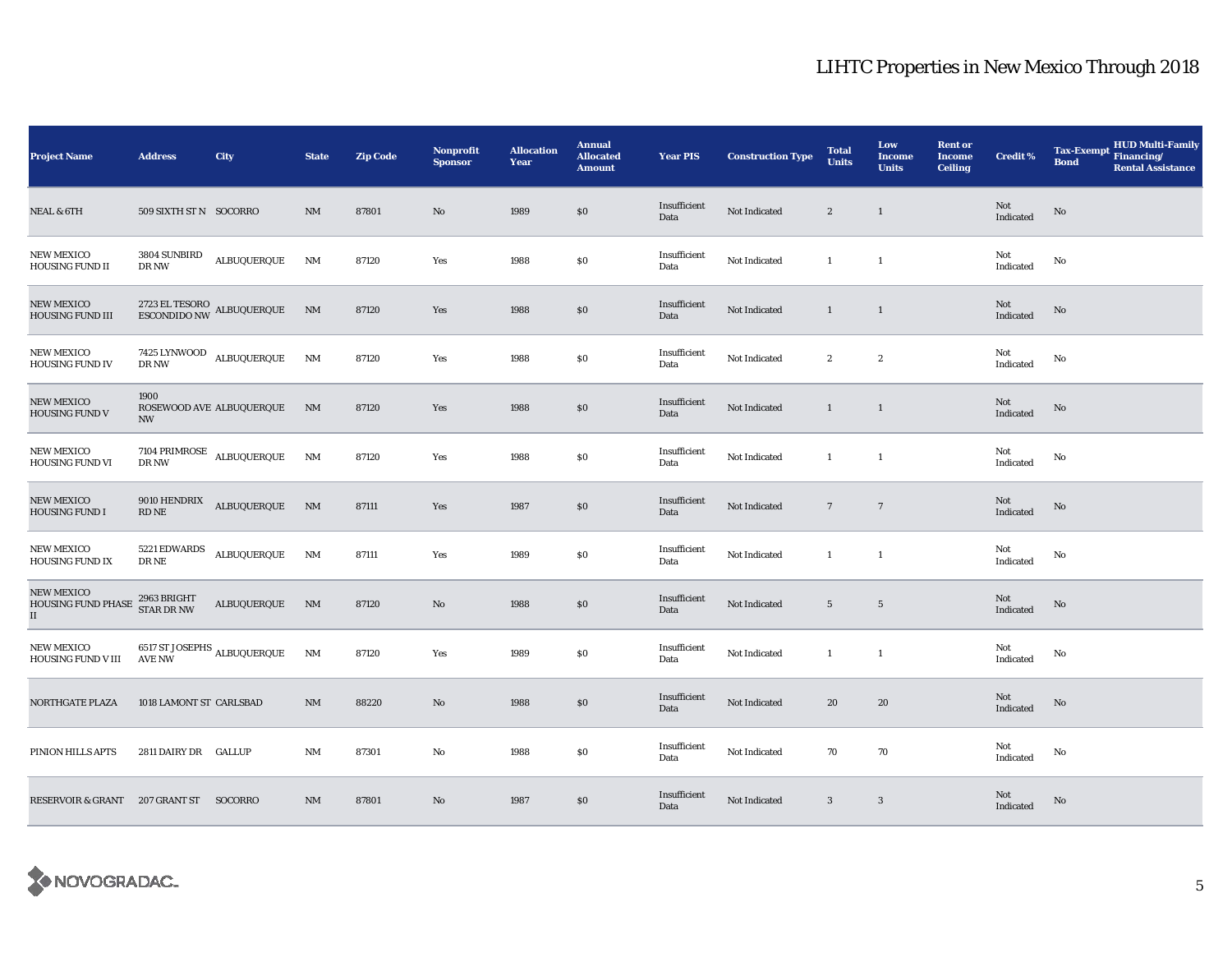| <b>Project Name</b>                                             | <b>Address</b>                                | City                                                | <b>State</b>           | <b>Zip Code</b> | Nonprofit<br><b>Sponsor</b> | <b>Allocation</b><br>Year | <b>Annual</b><br><b>Allocated</b><br><b>Amount</b> | <b>Year PIS</b>      | <b>Construction Type</b> | <b>Total</b><br><b>Units</b> | Low<br><b>Income</b><br><b>Units</b> | <b>Rent or</b><br><b>Income</b><br><b>Ceiling</b> | <b>Credit %</b>  | <b>HUD Multi-Family</b><br><b>Tax-Exempt</b><br>Financing/<br><b>Bond</b><br><b>Rental Assistance</b> |
|-----------------------------------------------------------------|-----------------------------------------------|-----------------------------------------------------|------------------------|-----------------|-----------------------------|---------------------------|----------------------------------------------------|----------------------|--------------------------|------------------------------|--------------------------------------|---------------------------------------------------|------------------|-------------------------------------------------------------------------------------------------------|
| <b>NEAL &amp; 6TH</b>                                           | 509 SIXTH ST N SOCORRO                        |                                                     | <b>NM</b>              | 87801           | $\mathbf{No}$               | 1989                      | \$0                                                | Insufficient<br>Data | Not Indicated            | $\boldsymbol{2}$             | $\mathbf{1}$                         |                                                   | Not<br>Indicated | No                                                                                                    |
| <b>NEW MEXICO</b><br>HOUSING FUND II                            | 3804 SUNBIRD<br>DR NW                         | ALBUQUERQUE                                         | NM                     | 87120           | Yes                         | 1988                      | $\$0$                                              | Insufficient<br>Data | Not Indicated            | -1                           | $\mathbf{1}$                         |                                                   | Not<br>Indicated | No                                                                                                    |
| <b>NEW MEXICO</b><br>HOUSING FUND III                           |                                               | $2723$ EL TESORO $\,$ ALBUQUERQUE $\,$ ESCONDIDO NW | N <sub>M</sub>         | 87120           | Yes                         | 1988                      | \$0\$                                              | Insufficient<br>Data | Not Indicated            | $\mathbf{1}$                 | $\mathbf{1}$                         |                                                   | Not<br>Indicated | $\mathbf{N}\mathbf{o}$                                                                                |
| <b>NEW MEXICO</b><br><b>HOUSING FUND IV</b>                     | DR NW                                         | 7425 LYNWOOD ALBUQUERQUE                            | NM                     | 87120           | Yes                         | 1988                      | $\$0$                                              | Insufficient<br>Data | Not Indicated            | $\boldsymbol{2}$             | $\boldsymbol{2}$                     |                                                   | Not<br>Indicated | No                                                                                                    |
| <b>NEW MEXICO</b><br><b>HOUSING FUND V</b>                      | 1900<br><b>NW</b>                             | ROSEWOOD AVE ALBUQUERQUE                            | NM                     | 87120           | Yes                         | 1988                      | \$0\$                                              | Insufficient<br>Data | Not Indicated            | $\mathbf{1}$                 | $\mathbf{1}$                         |                                                   | Not<br>Indicated | $\rm No$                                                                                              |
| <b>NEW MEXICO</b><br>HOUSING FUND VI                            | DR NW                                         | 7104 PRIMROSE $\,$ ALBUQUERQUE                      | NM                     | 87120           | Yes                         | 1988                      | \$0                                                | Insufficient<br>Data | Not Indicated            | $\mathbf{1}$                 | $\mathbf{1}$                         |                                                   | Not<br>Indicated | No                                                                                                    |
| <b>NEW MEXICO</b><br>HOUSING FUND I                             | 9010 HENDRIX<br>$\mathop{\rm RD}\nolimits$ NE | ${\bf ALBUQUERQUE}$                                 | $\mathbf{N}\mathbf{M}$ | 87111           | Yes                         | 1987                      | $\$0$                                              | Insufficient<br>Data | Not Indicated            | $7\phantom{.0}$              | $7\phantom{.0}$                      |                                                   | Not<br>Indicated | $\mathbf{N}\mathbf{o}$                                                                                |
| <b>NEW MEXICO</b><br><b>HOUSING FUND IX</b>                     | 5221 EDWARDS<br>DR NE                         | ALBUQUERQUE                                         | NM                     | 87111           | Yes                         | 1989                      | $\$0$                                              | Insufficient<br>Data | Not Indicated            | $\mathbf{1}$                 | -1                                   |                                                   | Not<br>Indicated | No                                                                                                    |
| <b>NEW MEXICO</b><br>HOUSING FUND PHASE<br>$\scriptstyle\rm II$ | 2963 BRIGHT<br>STAR DR NW                     | ALBUQUERQUE                                         | N <sub>M</sub>         | 87120           | No                          | 1988                      | \$0                                                | Insufficient<br>Data | Not Indicated            | $5\phantom{.0}$              | $\overline{5}$                       |                                                   | Not<br>Indicated | $\rm No$                                                                                              |
| <b>NEW MEXICO</b><br>HOUSING FUND V III                         | <b>AVE NW</b>                                 | 6517 ST JOSEPHS $_{\rm ALBUQUERQUE}$                | NM                     | 87120           | Yes                         | 1989                      | \$0\$                                              | Insufficient<br>Data | Not Indicated            | $\mathbf{1}$                 | $\mathbf{1}$                         |                                                   | Not<br>Indicated | No                                                                                                    |
| NORTHGATE PLAZA                                                 | 1018 LAMONT ST CARLSBAD                       |                                                     | $\rm{NM}$              | 88220           | No                          | 1988                      | $\$0$                                              | Insufficient<br>Data | Not Indicated            | 20                           | 20                                   |                                                   | Not<br>Indicated | No                                                                                                    |
| PINION HILLS APTS                                               | 2811 DAIRY DR GALLUP                          |                                                     | $\rm{NM}$              | 87301           | $\mathbf{No}$               | 1988                      | $\$0$                                              | Insufficient<br>Data | Not Indicated            | 70                           | 70                                   |                                                   | Not<br>Indicated | No                                                                                                    |
| RESERVOIR & GRANT 207 GRANT ST SOCORRO                          |                                               |                                                     | $\mathrm{NM}$          | 87801           | $\mathbf{N}\mathbf{o}$      | 1987                      | \$0                                                | Insufficient<br>Data | Not Indicated            | $\mathbf{3}$                 | $\mathbf{3}$                         |                                                   | Not<br>Indicated | No                                                                                                    |

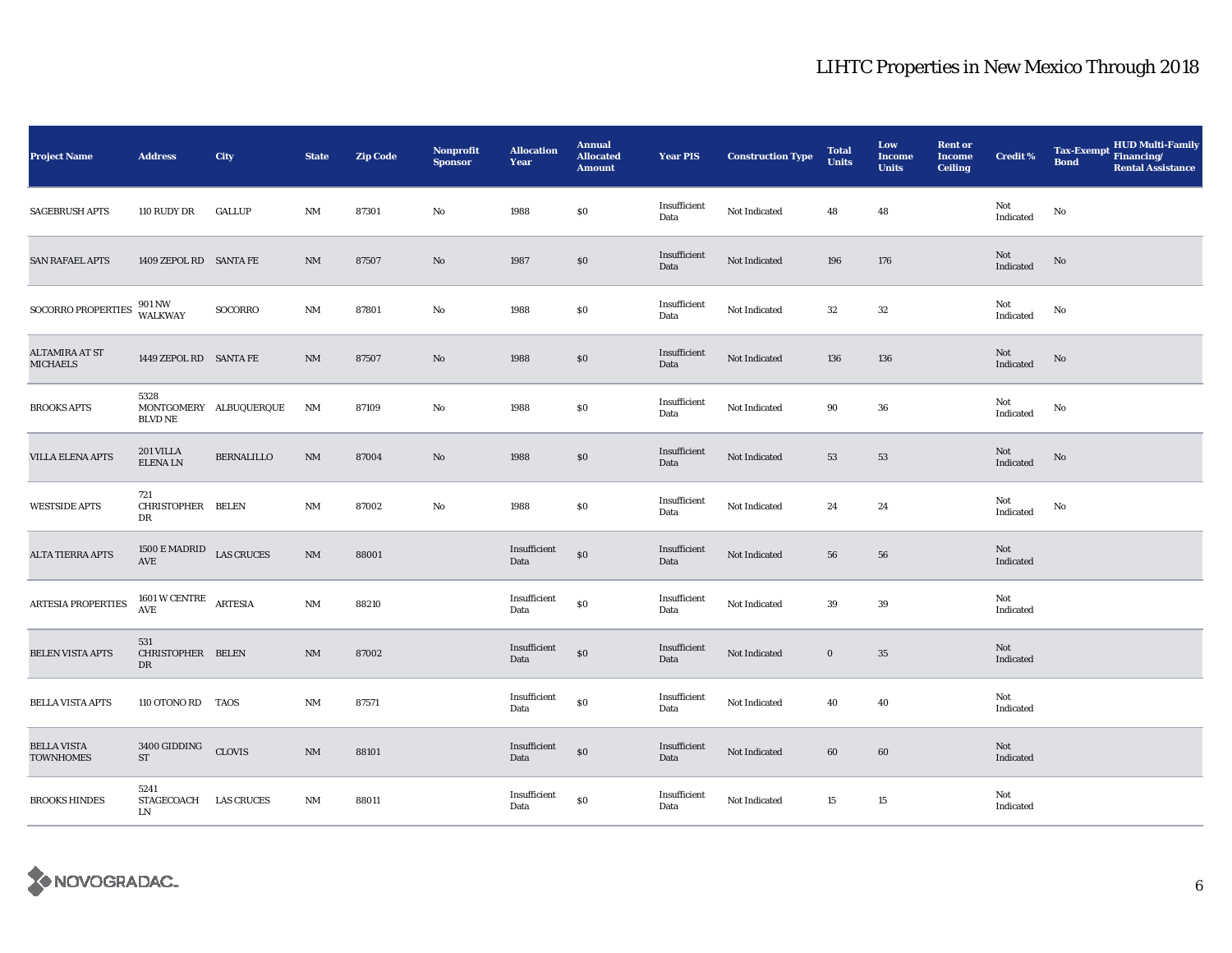| <b>Project Name</b>                    | <b>Address</b>                                  | City                   | <b>State</b>           | <b>Zip Code</b> | <b>Nonprofit</b><br><b>Sponsor</b> | <b>Allocation</b><br>Year | <b>Annual</b><br><b>Allocated</b><br><b>Amount</b> | <b>Year PIS</b>      | <b>Construction Type</b> | <b>Total</b><br><b>Units</b> | Low<br><b>Income</b><br><b>Units</b> | <b>Rent or</b><br><b>Income</b><br><b>Ceiling</b> | <b>Credit %</b>  | HUD Multi-Family<br>Financing/<br><b>Tax-Exempt</b><br><b>Bond</b><br><b>Rental Assistance</b> |
|----------------------------------------|-------------------------------------------------|------------------------|------------------------|-----------------|------------------------------------|---------------------------|----------------------------------------------------|----------------------|--------------------------|------------------------------|--------------------------------------|---------------------------------------------------|------------------|------------------------------------------------------------------------------------------------|
| <b>SAGEBRUSH APTS</b>                  | 110 RUDY DR                                     | <b>GALLUP</b>          | $\rm{NM}$              | 87301           | No                                 | 1988                      | \$0\$                                              | Insufficient<br>Data | Not Indicated            | 48                           | 48                                   |                                                   | Not<br>Indicated | No                                                                                             |
| <b>SAN RAFAEL APTS</b>                 | 1409 ZEPOL RD SANTA FE                          |                        | $\rm{NM}$              | 87507           | No                                 | 1987                      | $\$0$                                              | Insufficient<br>Data | Not Indicated            | 196                          | 176                                  |                                                   | Not<br>Indicated | No                                                                                             |
| SOCORRO PROPERTIES                     | 901 NW<br>WALKWAY                               | SOCORRO                | $\rm{NM}$              | 87801           | No                                 | 1988                      | $\$0$                                              | Insufficient<br>Data | Not Indicated            | 32                           | 32                                   |                                                   | Not<br>Indicated | No                                                                                             |
| ALTAMIRA AT ST<br><b>MICHAELS</b>      | 1449 ZEPOL RD SANTA FE                          |                        | <b>NM</b>              | 87507           | No                                 | 1988                      | \$0                                                | Insufficient<br>Data | Not Indicated            | 136                          | 136                                  |                                                   | Not<br>Indicated | No                                                                                             |
| <b>BROOKS APTS</b>                     | 5328<br><b>BLVD NE</b>                          | MONTGOMERY ALBUQUERQUE | NM                     | 87109           | No                                 | 1988                      | \$0                                                | Insufficient<br>Data | Not Indicated            | 90                           | 36                                   |                                                   | Not<br>Indicated | No                                                                                             |
| <b>VILLA ELENA APTS</b>                | 201 VILLA<br><b>ELENALN</b>                     | <b>BERNALILLO</b>      | $\mathbf{N}\mathbf{M}$ | 87004           | $\rm No$                           | 1988                      | \$0                                                | Insufficient<br>Data | Not Indicated            | 53                           | 53                                   |                                                   | Not<br>Indicated | No                                                                                             |
| <b>WESTSIDE APTS</b>                   | 721<br>CHRISTOPHER BELEN<br>DR                  |                        | $\rm{NM}$              | 87002           | No                                 | 1988                      | $\$0$                                              | Insufficient<br>Data | Not Indicated            | 24                           | 24                                   |                                                   | Not<br>Indicated | No                                                                                             |
| <b>ALTA TIERRA APTS</b>                | 1500 E MADRID LAS CRUCES<br>AVE                 |                        | $\rm{NM}$              | 88001           |                                    | Insufficient<br>Data      | $\$0$                                              | Insufficient<br>Data | Not Indicated            | 56                           | 56                                   |                                                   | Not<br>Indicated |                                                                                                |
| ARTESIA PROPERTIES                     | $1601\,\mathrm{W}\,\mathrm{CENTRE}$ ARTESIA AVE |                        | $\mathbf{NM}$          | 88210           |                                    | Insufficient<br>Data      | $\$0$                                              | Insufficient<br>Data | Not Indicated            | 39                           | 39                                   |                                                   | Not<br>Indicated |                                                                                                |
| <b>BELEN VISTA APTS</b>                | 531<br>CHRISTOPHER BELEN<br>DR                  |                        | $\rm{NM}$              | 87002           |                                    | Insufficient<br>Data      | $\$0$                                              | Insufficient<br>Data | Not Indicated            | $\bf{0}$                     | 35                                   |                                                   | Not<br>Indicated |                                                                                                |
| <b>BELLA VISTA APTS</b>                | 110 OTONO RD TAOS                               |                        | NM                     | 87571           |                                    | Insufficient<br>Data      | $\$0$                                              | Insufficient<br>Data | Not Indicated            | 40                           | 40                                   |                                                   | Not<br>Indicated |                                                                                                |
| <b>BELLA VISTA</b><br><b>TOWNHOMES</b> | 3400 GIDDING CLOVIS<br>ST                       |                        | $\rm{NM}$              | 88101           |                                    | Insufficient<br>Data      | $\$0$                                              | Insufficient<br>Data | Not Indicated            | 60                           | 60                                   |                                                   | Not<br>Indicated |                                                                                                |
| <b>BROOKS HINDES</b>                   | 5241<br>STAGECOACH LAS CRUCES<br>LN             |                        | $\rm{NM}$              | 88011           |                                    | Insufficient<br>Data      | $\$0$                                              | Insufficient<br>Data | Not Indicated            | 15                           | 15                                   |                                                   | Not<br>Indicated |                                                                                                |

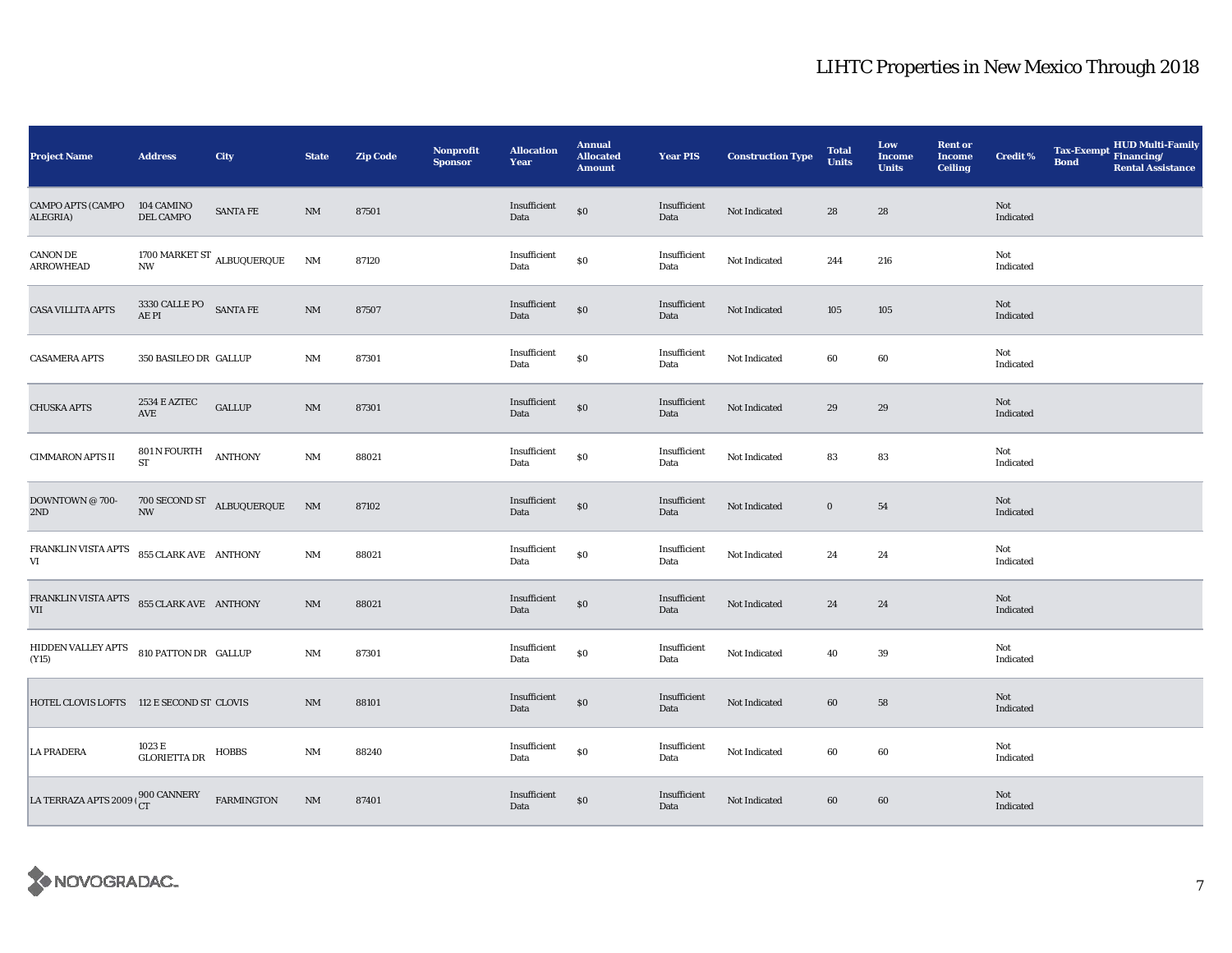| <b>Project Name</b>                                     | <b>Address</b>                                        | City                                          | <b>State</b>   | <b>Zip Code</b> | <b>Nonprofit</b><br><b>Sponsor</b> | <b>Allocation</b><br>Year | <b>Annual</b><br><b>Allocated</b><br><b>Amount</b> | <b>Year PIS</b>      | <b>Construction Type</b> | <b>Total</b><br><b>Units</b> | Low<br><b>Income</b><br><b>Units</b> | <b>Rent or</b><br><b>Income</b><br><b>Ceiling</b> | <b>Credit %</b>         | <b>Tax-Exempt</b><br><b>Bond</b> | HUD Multi-Family<br>Financing/<br><b>Rental Assistance</b> |
|---------------------------------------------------------|-------------------------------------------------------|-----------------------------------------------|----------------|-----------------|------------------------------------|---------------------------|----------------------------------------------------|----------------------|--------------------------|------------------------------|--------------------------------------|---------------------------------------------------|-------------------------|----------------------------------|------------------------------------------------------------|
| CAMPO APTS (CAMPO<br>ALEGRIA)                           | 104 CAMINO<br>DEL CAMPO                               | <b>SANTA FE</b>                               | NM             | 87501           |                                    | Insufficient<br>Data      | $\$0$                                              | Insufficient<br>Data | Not Indicated            | 28                           | 28                                   |                                                   | Not<br>Indicated        |                                  |                                                            |
| <b>CANON DE</b><br><b>ARROWHEAD</b>                     | $\ensuremath{\text{NW}}$                              | 1700 MARKET ST $_{\rm ALBUQUERQUE}$           | $\rm{NM}$      | 87120           |                                    | Insufficient<br>Data      | $\$0$                                              | Insufficient<br>Data | Not Indicated            | 244                          | 216                                  |                                                   | Not<br>Indicated        |                                  |                                                            |
| <b>CASA VILLITA APTS</b>                                | $3330$ CALLE PO $$\sf{SANTA\,FE}$$ AE PI              |                                               | $\rm{NM}$      | 87507           |                                    | Insufficient<br>Data      | $\$0$                                              | Insufficient<br>Data | Not Indicated            | 105                          | 105                                  |                                                   | Not<br>Indicated        |                                  |                                                            |
| <b>CASAMERA APTS</b>                                    | 350 BASILEO DR GALLUP                                 |                                               | NM             | 87301           |                                    | Insufficient<br>Data      | $\$0$                                              | Insufficient<br>Data | Not Indicated            | 60                           | 60                                   |                                                   | Not<br>Indicated        |                                  |                                                            |
| <b>CHUSKA APTS</b>                                      | 2534 E AZTEC<br>AVE                                   | <b>GALLUP</b>                                 | $\rm{NM}$      | 87301           |                                    | Insufficient<br>Data      | $\$0$                                              | Insufficient<br>Data | Not Indicated            | 29                           | 29                                   |                                                   | Not<br>Indicated        |                                  |                                                            |
| <b>CIMMARON APTS II</b>                                 | $801\,\mathrm{N}$ FOURTH $\quad$ ANTHONY<br><b>ST</b> |                                               | $\rm{NM}$      | 88021           |                                    | Insufficient<br>Data      | $\$0$                                              | Insufficient<br>Data | Not Indicated            | 83                           | 83                                   |                                                   | Not<br>Indicated        |                                  |                                                            |
| DOWNTOWN @ 700-<br>2ND                                  |                                                       | $700$ SECOND ST $$\hbox{\sc ALBUQUERQUE}$$ NW | N <sub>M</sub> | 87102           |                                    | Insufficient<br>Data      | $\$0$                                              | Insufficient<br>Data | Not Indicated            | $\bf{0}$                     | 54                                   |                                                   | Not<br>Indicated        |                                  |                                                            |
| FRANKLIN VISTA APTS 855 CLARK AVE ANTHONY<br>VI         |                                                       |                                               | $\rm{NM}$      | 88021           |                                    | Insufficient<br>Data      | $\$0$                                              | Insufficient<br>Data | Not Indicated            | 24                           | 24                                   |                                                   | Not<br>Indicated        |                                  |                                                            |
| FRANKLIN VISTA APTS 855 CLARK AVE ANTHONY<br><b>VII</b> |                                                       |                                               | $\rm{NM}$      | 88021           |                                    | Insufficient<br>Data      | $\$0$                                              | Insufficient<br>Data | Not Indicated            | 24                           | 24                                   |                                                   | Not<br>Indicated        |                                  |                                                            |
| HIDDEN VALLEY APTS 810 PATTON DR GALLUP<br>(Y15)        |                                                       |                                               | $\rm{NM}$      | 87301           |                                    | Insufficient<br>Data      | $\$0$                                              | Insufficient<br>Data | Not Indicated            | 40                           | 39                                   |                                                   | Not<br>Indicated        |                                  |                                                            |
| HOTEL CLOVIS LOFTS 112 E SECOND ST CLOVIS               |                                                       |                                               | NM             | 88101           |                                    | Insufficient<br>Data      | $\$0$                                              | Insufficient<br>Data | Not Indicated            | 60                           | 58                                   |                                                   | <b>Not</b><br>Indicated |                                  |                                                            |
| <b>LA PRADERA</b>                                       | 1023 E<br>GLORIETTA DR                                | HOBBS                                         | NM             | 88240           |                                    | Insufficient<br>Data      | $\$0$                                              | Insufficient<br>Data | Not Indicated            | 60                           | 60                                   |                                                   | Not<br>Indicated        |                                  |                                                            |
| LA TERRAZA APTS 2009   <sup>900 CANNERY</sup>           |                                                       | <b>FARMINGTON</b>                             | NM             | 87401           |                                    | Insufficient<br>Data      | $\$0$                                              | Insufficient<br>Data | Not Indicated            | 60                           | 60                                   |                                                   | Not<br>Indicated        |                                  |                                                            |

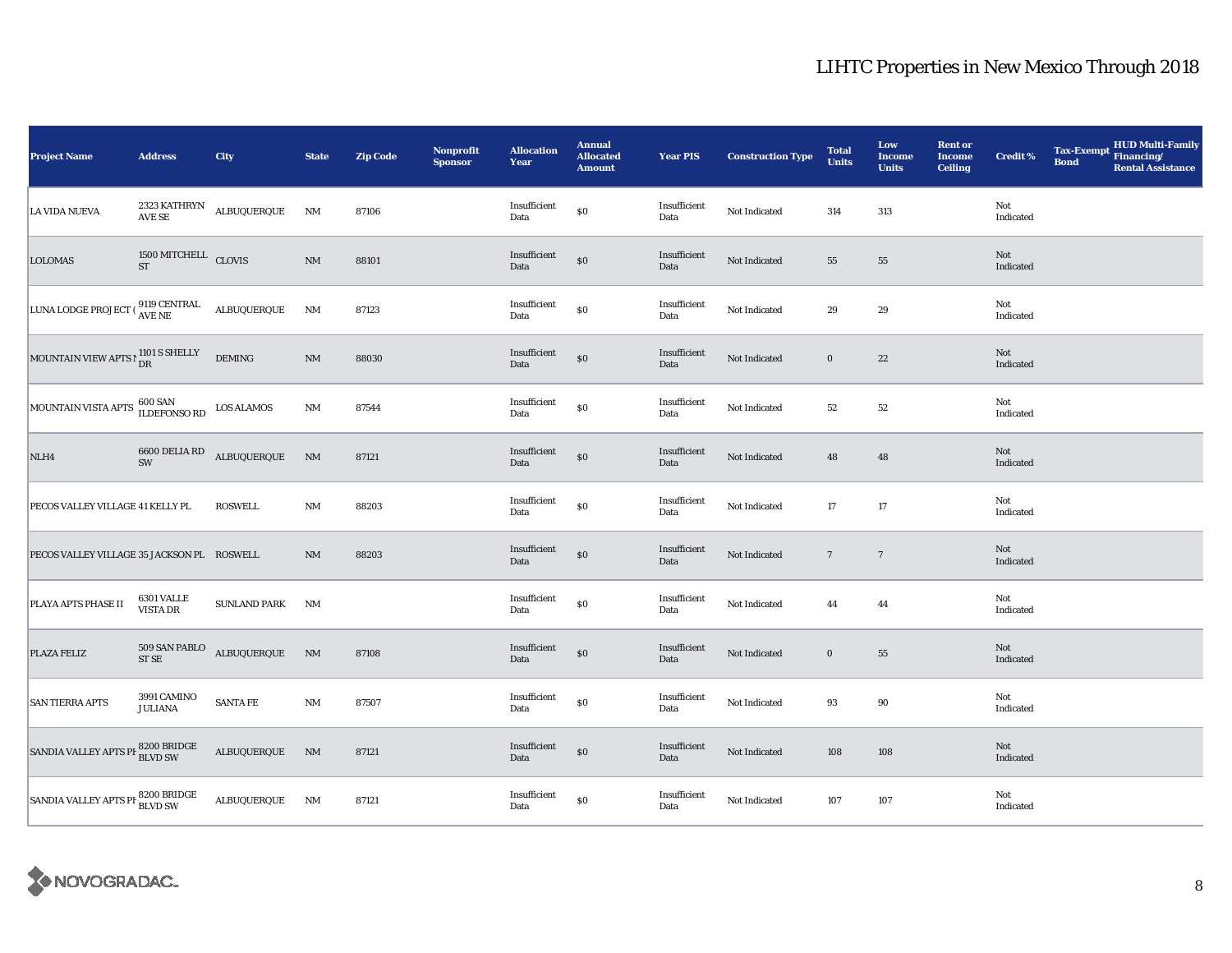| <b>Project Name</b>                                                | <b>Address</b>                              | <b>City</b>              | <b>State</b>           | <b>Zip Code</b> | <b>Nonprofit</b><br><b>Sponsor</b> | <b>Allocation</b><br>Year | <b>Annual</b><br><b>Allocated</b><br><b>Amount</b> | <b>Year PIS</b>      | <b>Construction Type</b> | <b>Total</b><br><b>Units</b> | Low<br><b>Income</b><br><b>Units</b> | <b>Rent or</b><br><b>Income</b><br><b>Ceiling</b> | <b>Credit %</b>  | HUD Multi-Family<br>Financing/<br><b>Tax-Exempt</b><br><b>Bond</b><br><b>Rental Assistance</b> |
|--------------------------------------------------------------------|---------------------------------------------|--------------------------|------------------------|-----------------|------------------------------------|---------------------------|----------------------------------------------------|----------------------|--------------------------|------------------------------|--------------------------------------|---------------------------------------------------|------------------|------------------------------------------------------------------------------------------------|
| LA VIDA NUEVA                                                      | AVE SE                                      | 2323 KATHRYN ALBUQUERQUE | NM                     | 87106           |                                    | Insufficient<br>Data      | $\$0$                                              | Insufficient<br>Data | Not Indicated            | 314                          | 313                                  |                                                   | Not<br>Indicated |                                                                                                |
| <b>LOLOMAS</b>                                                     | $1500\rm~MITCHELL~$ $\rm CLOVIS~$ $\rm ST~$ |                          | $\rm{NM}$              | 88101           |                                    | Insufficient<br>Data      | $\$0$                                              | Insufficient<br>Data | Not Indicated            | 55                           | 55                                   |                                                   | Not<br>Indicated |                                                                                                |
| LUNA LODGE PROJECT ( $_{\rm AVE}^{9119 \rm \ CENTRAL}$ ALBUQUERQUE |                                             |                          | NM                     | 87123           |                                    | Insufficient<br>Data      | $\$0$                                              | Insufficient<br>Data | Not Indicated            | 29                           | 29                                   |                                                   | Not<br>Indicated |                                                                                                |
| MOUNTAIN VIEW APTS P 1101 S SHELLY                                 |                                             | <b>DEMING</b>            | NM                     | 88030           |                                    | Insufficient<br>Data      | $\$0$                                              | Insufficient<br>Data | Not Indicated            | $\boldsymbol{0}$             | 22                                   |                                                   | Not<br>Indicated |                                                                                                |
| MOUNTAIN VISTA APTS 600 SAN                                        |                                             | <b>LOS ALAMOS</b>        | NM                     | 87544           |                                    | Insufficient<br>Data      | $\$0$                                              | Insufficient<br>Data | Not Indicated            | 52                           | 52                                   |                                                   | Not<br>Indicated |                                                                                                |
| NLH4                                                               | $6600$ DELIA RD ${\rm SW}$                  | ALBUQUERQUE              | $\rm{NM}$              | 87121           |                                    | Insufficient<br>Data      | $\$0$                                              | Insufficient<br>Data | Not Indicated            | 48                           | 48                                   |                                                   | Not<br>Indicated |                                                                                                |
| PECOS VALLEY VILLAGE 41 KELLY PL                                   |                                             | <b>ROSWELL</b>           | NM                     | 88203           |                                    | Insufficient<br>Data      | $\$0$                                              | Insufficient<br>Data | Not Indicated            | 17                           | 17                                   |                                                   | Not<br>Indicated |                                                                                                |
| PECOS VALLEY VILLAGE 35 JACKSON PL ROSWELL                         |                                             |                          | NM                     | 88203           |                                    | Insufficient<br>Data      | $\$0$                                              | Insufficient<br>Data | Not Indicated            | $7\phantom{.0}$              | $7\phantom{.0}$                      |                                                   | Not<br>Indicated |                                                                                                |
| PLAYA APTS PHASE II                                                | 6301 VALLE<br><b>VISTA DR</b>               | <b>SUNLAND PARK</b>      | NM                     |                 |                                    | Insufficient<br>Data      | $\$0$                                              | Insufficient<br>Data | Not Indicated            | 44                           | 44                                   |                                                   | Not<br>Indicated |                                                                                                |
| PLAZA FELIZ                                                        | 509 SAN PABLO<br>$STSE$                     | $\textbf{ALBUQUERQUE}$   | $\mathbf{N}\mathbf{M}$ | 87108           |                                    | Insufficient<br>Data      | $\$0$                                              | Insufficient<br>Data | Not Indicated            | $\boldsymbol{0}$             | 55                                   |                                                   | Not<br>Indicated |                                                                                                |
| <b>SAN TIERRA APTS</b>                                             | 3991 CAMINO<br><b>JULIANA</b>               | <b>SANTA FE</b>          | $\rm{NM}$              | 87507           |                                    | Insufficient<br>Data      | $\$0$                                              | Insufficient<br>Data | Not Indicated            | 93                           | 90                                   |                                                   | Not<br>Indicated |                                                                                                |
| SANDIA VALLEY APTS PH BLVD SW                                      |                                             | ALBUQUERQUE              | N <sub>M</sub>         | 87121           |                                    | Insufficient<br>Data      | $\$0$                                              | Insufficient<br>Data | Not Indicated            | 108                          | 108                                  |                                                   | Not<br>Indicated |                                                                                                |
| SANDIA VALLEY APTS PF 8200 BRIDGE                                  |                                             | ALBUQUERQUE              | NM                     | 87121           |                                    | Insufficient<br>Data      | \$0                                                | Insufficient<br>Data | Not Indicated            | 107                          | 107                                  |                                                   | Not<br>Indicated |                                                                                                |

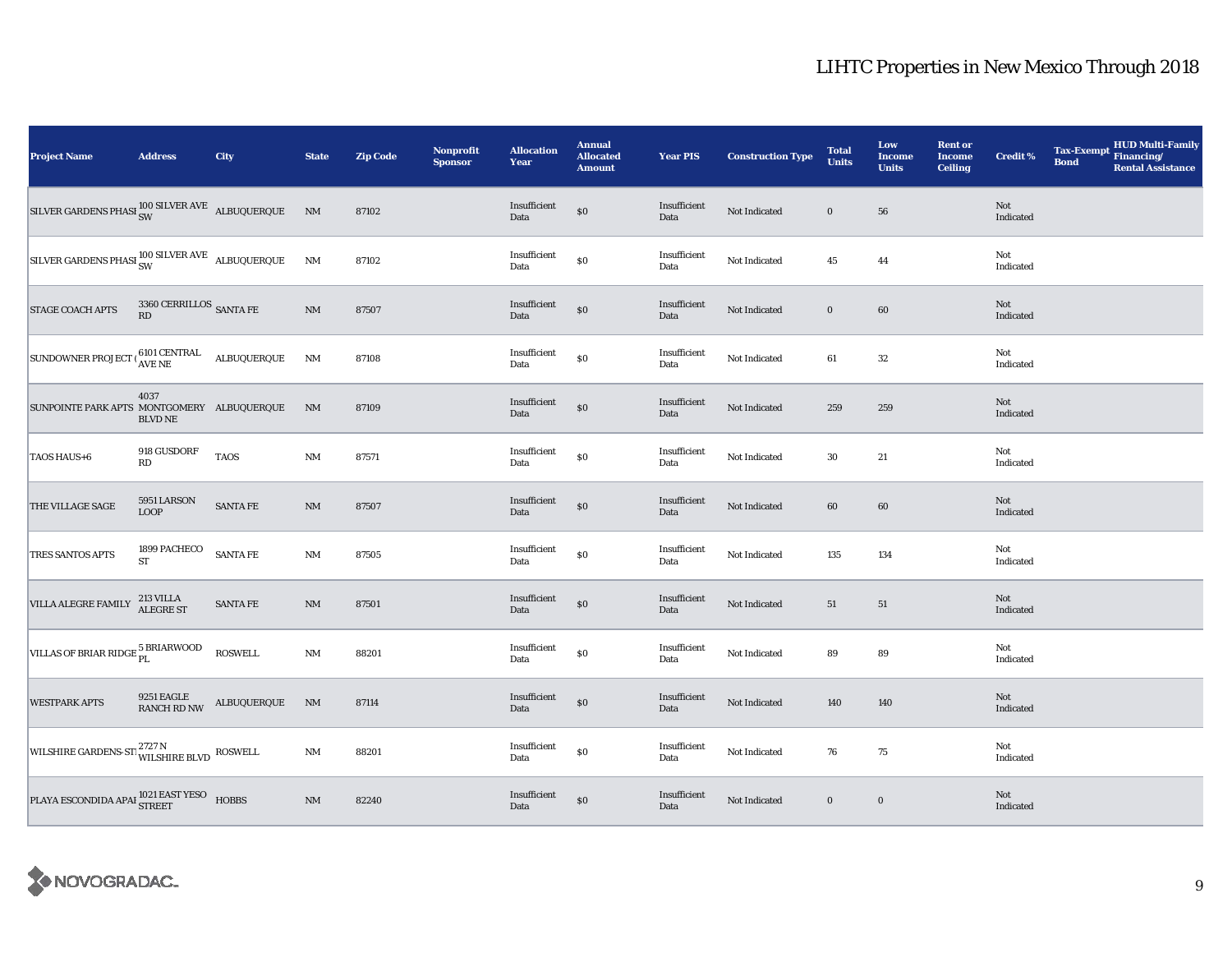| <b>Project Name</b>                                                                                                                                 | <b>Address</b>                  | City            | <b>State</b>           | <b>Zip Code</b> | <b>Nonprofit</b><br><b>Sponsor</b> | <b>Allocation</b><br>Year     | <b>Annual</b><br><b>Allocated</b><br><b>Amount</b> | <b>Year PIS</b>      | <b>Construction Type</b> | <b>Total</b><br><b>Units</b> | Low<br><b>Income</b><br><b>Units</b> | <b>Rent or</b><br><b>Income</b><br><b>Ceiling</b> | Credit %         | <b>Tax-Exempt</b><br><b>Bond</b> | HUD Multi-Family<br>Financing/<br><b>Rental Assistance</b> |
|-----------------------------------------------------------------------------------------------------------------------------------------------------|---------------------------------|-----------------|------------------------|-----------------|------------------------------------|-------------------------------|----------------------------------------------------|----------------------|--------------------------|------------------------------|--------------------------------------|---------------------------------------------------|------------------|----------------------------------|------------------------------------------------------------|
| $\begin{array}{lll} \text{SILVER GARDENS PHASI} \begin{array}{lll} 100 \text{ SILVER AVE} & \text{ALBUQUERQUE} & \text{NM} \end{array} \end{array}$ |                                 |                 |                        | 87102           |                                    | Insufficient<br>Data          | $\$0$                                              | Insufficient<br>Data | Not Indicated            | $\bf{0}$                     | 56                                   |                                                   | Not<br>Indicated |                                  |                                                            |
| SILVER GARDENS PHASI $_{\text{SW}}^{100 \text{ SLVER AVE}}$ ALBUQUERQUE                                                                             |                                 |                 | $\rm{NM}$              | 87102           |                                    | Insufficient<br>Data          | $\$0$                                              | Insufficient<br>Data | Not Indicated            | 45                           | 44                                   |                                                   | Not<br>Indicated |                                  |                                                            |
| STAGE COACH APTS                                                                                                                                    | 3360 CERRILLOS $\,$ SANTA FE RD |                 | $\rm{NM}$              | 87507           |                                    | Insufficient<br>Data          | $\$0$                                              | Insufficient<br>Data | Not Indicated            | $\bf{0}$                     | 60                                   |                                                   | Not<br>Indicated |                                  |                                                            |
| $\boxed{\text{SUNDOWNER PROJECT} \mid \begin{matrix} 6101 \text{ CENTRAL} & \text{ALBUQUERQUE} \\ \text{AVE NE} & \text{ALBUQUERQUE} \end{matrix}}$ |                                 |                 | $\rm{NM}$              | 87108           |                                    | Insufficient<br>Data          | $\$0$                                              | Insufficient<br>Data | Not Indicated            | 61                           | 32                                   |                                                   | Not<br>Indicated |                                  |                                                            |
| SUNPOINTE PARK APTS MONTGOMERY ALBUQUERQUE                                                                                                          | 4037<br><b>BLVD NE</b>          |                 | <b>NM</b>              | 87109           |                                    | Insufficient<br>Data          | $\$0$                                              | Insufficient<br>Data | Not Indicated            | 259                          | 259                                  |                                                   | Not<br>Indicated |                                  |                                                            |
| TAOS HAUS+6                                                                                                                                         | 918 GUSDORF<br>RD               | <b>TAOS</b>     | $\rm{NM}$              | 87571           |                                    | Insufficient<br>Data          | $\$0$                                              | Insufficient<br>Data | Not Indicated            | $30\,$                       | 21                                   |                                                   | Not<br>Indicated |                                  |                                                            |
| THE VILLAGE SAGE                                                                                                                                    | 5951 LARSON<br><b>LOOP</b>      | <b>SANTA FE</b> | NM                     | 87507           |                                    | Insufficient<br>Data          | $\$0$                                              | Insufficient<br>Data | Not Indicated            | 60                           | 60                                   |                                                   | Not<br>Indicated |                                  |                                                            |
| <b>TRES SANTOS APTS</b>                                                                                                                             | 1899 PACHECO ${\rm ST}$         | <b>SANTA FE</b> | $\rm{NM}$              | 87505           |                                    | Insufficient<br>Data          | $\$0$                                              | Insufficient<br>Data | Not Indicated            | 135                          | 134                                  |                                                   | Not<br>Indicated |                                  |                                                            |
| VILLA ALEGRE FAMILY                                                                                                                                 | 213 VILLA<br>ALEGRE ST          | SANTA FE        | $\rm{NM}$              | 87501           |                                    | Insufficient<br>Data          | $\$0$                                              | Insufficient<br>Data | Not Indicated            | 51                           | 51                                   |                                                   | Not<br>Indicated |                                  |                                                            |
| VILLAS OF BRIAR RIDGE 5 BRIARWOOD                                                                                                                   |                                 | <b>ROSWELL</b>  | $\rm{NM}$              | 88201           |                                    | $\bold{Insufficient}$<br>Data | $\$0$                                              | Insufficient<br>Data | Not Indicated            | 89                           | 89                                   |                                                   | Not<br>Indicated |                                  |                                                            |
| <b>WESTPARK APTS</b>                                                                                                                                | 9251 EAGLE<br>RANCH RD NW       | ALBUQUERQUE     | $\mathbf{N}\mathbf{M}$ | 87114           |                                    | Insufficient<br>Data          | $\$0$                                              | Insufficient<br>Data | Not Indicated            | 140                          | 140                                  |                                                   | Not<br>Indicated |                                  |                                                            |
| WILSHIRE GARDENS-STI WILSHIRE BLVD ROSWELL                                                                                                          |                                 |                 | $\rm{NM}$              | 88201           |                                    | Insufficient<br>Data          | $\$0$                                              | Insufficient<br>Data | Not Indicated            | 76                           | 75                                   |                                                   | Not<br>Indicated |                                  |                                                            |
| PLAYA ESCONDIDA APAI $^{1021\, \rm EAST \, VESO}_{\rm STREET}$ HOBBS                                                                                |                                 |                 | $\rm{NM}$              | 82240           |                                    | Insufficient<br>Data          | $\$0$                                              | Insufficient<br>Data | Not Indicated            | $\boldsymbol{0}$             | $\bf{0}$                             |                                                   | Not<br>Indicated |                                  |                                                            |

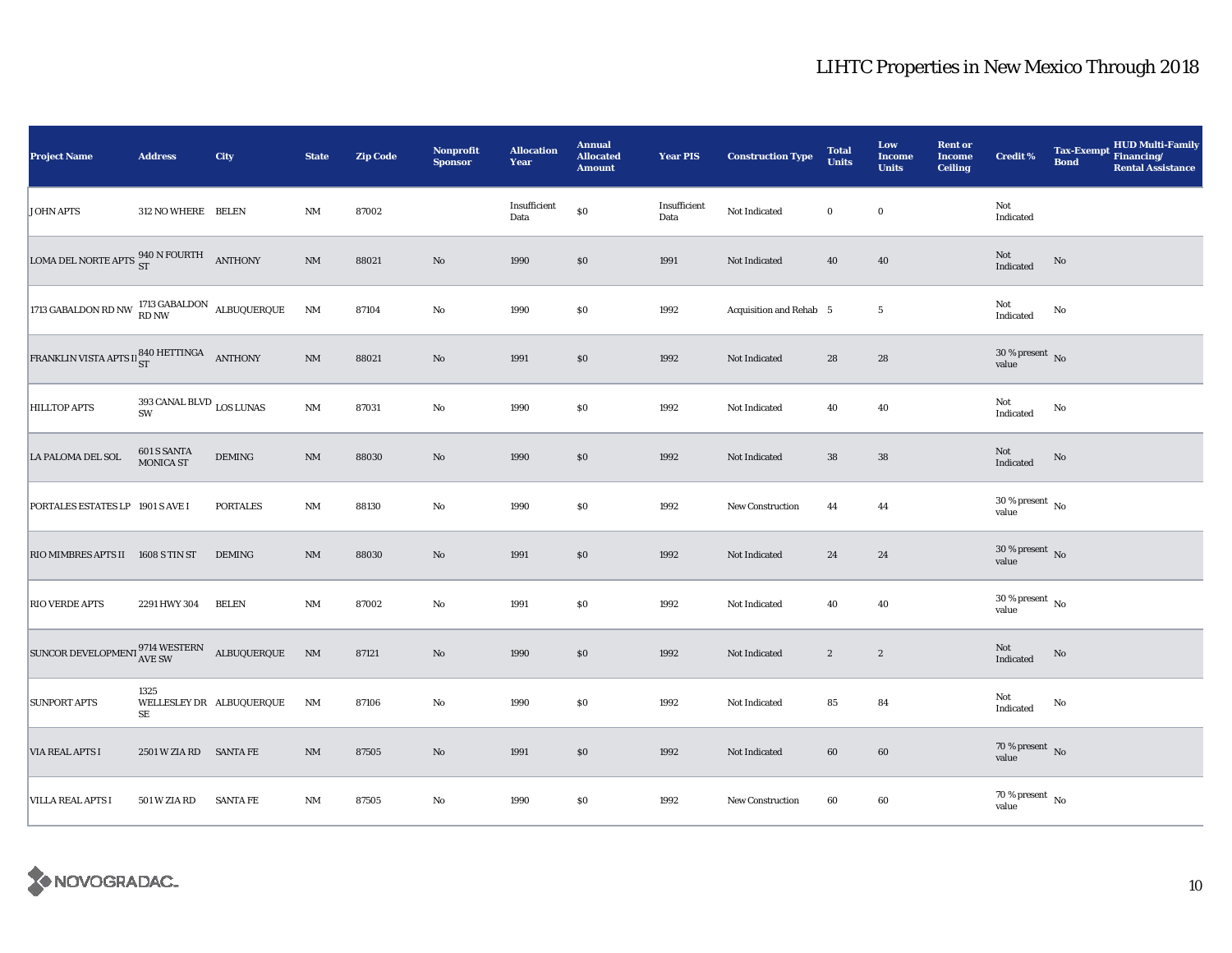| <b>Project Name</b>                                                                                                                                                                     | <b>Address</b>                    | City                     | <b>State</b>           | <b>Zip Code</b> | Nonprofit<br><b>Sponsor</b> | <b>Allocation</b><br>Year | <b>Annual</b><br><b>Allocated</b><br><b>Amount</b> | <b>Year PIS</b>      | <b>Construction Type</b> | <b>Total</b><br><b>Units</b> | Low<br><b>Income</b><br><b>Units</b> | <b>Rent or</b><br><b>Income</b><br><b>Ceiling</b> | Credit <sup>%</sup>              | <b>Tax-Exempt</b><br><b>Bond</b> | HUD Multi-Family<br>Financing/<br><b>Rental Assistance</b> |
|-----------------------------------------------------------------------------------------------------------------------------------------------------------------------------------------|-----------------------------------|--------------------------|------------------------|-----------------|-----------------------------|---------------------------|----------------------------------------------------|----------------------|--------------------------|------------------------------|--------------------------------------|---------------------------------------------------|----------------------------------|----------------------------------|------------------------------------------------------------|
| <b>JOHN APTS</b>                                                                                                                                                                        | 312 NO WHERE BELEN                |                          | <b>NM</b>              | 87002           |                             | Insufficient<br>Data      | $\$0$                                              | Insufficient<br>Data | Not Indicated            | $\bf{0}$                     | $\bf{0}$                             |                                                   | Not<br>Indicated                 |                                  |                                                            |
| LOMA DEL NORTE APTS $^{940}_{ST}$ N FOURTH ANTHONY                                                                                                                                      |                                   |                          | $\rm{NM}$              | 88021           | $\rm No$                    | 1990                      | $\$0$                                              | 1991                 | Not Indicated            | 40                           | 40                                   |                                                   | Not<br>Indicated                 | No                               |                                                            |
| 1713 GABALDON RD NW $^{1713}_{RD}$ GABALDON ALBUQUERQUE                                                                                                                                 |                                   |                          | $\mathbf{N}\mathbf{M}$ | 87104           | $\rm No$                    | 1990                      | \$0                                                | 1992                 | Acquisition and Rehab 5  |                              | $5\phantom{.0}$                      |                                                   | Not<br>Indicated                 | No                               |                                                            |
| FRANKLIN VISTA APTS II 840 HETTINGA ANTHONY                                                                                                                                             |                                   |                          | $\rm{NM}$              | 88021           | $\mathbf{N}\mathbf{o}$      | 1991                      | \$0                                                | 1992                 | Not Indicated            | 28                           | 28                                   |                                                   | $30\,\%$ present $\,$ No value   |                                  |                                                            |
| <b>HILLTOP APTS</b>                                                                                                                                                                     | 393 CANAL BLVD $_{\rm LOS~LUNAS}$ |                          | $\rm{NM}$              | 87031           | $\rm No$                    | 1990                      | \$0                                                | 1992                 | Not Indicated            | 40                           | 40                                   |                                                   | Not<br>Indicated                 | No                               |                                                            |
| <b>LA PALOMA DEL SOL</b>                                                                                                                                                                | 601 S SANTA<br>MONICA ST          | $\operatorname{DEMING}$  | $\rm{NM}$              | 88030           | No                          | 1990                      | \$0                                                | 1992                 | Not Indicated            | ${\bf 38}$                   | 38                                   |                                                   | Not<br>Indicated                 | No                               |                                                            |
| PORTALES ESTATES LP 1901 S AVE I                                                                                                                                                        |                                   | <b>PORTALES</b>          | $\rm{NM}$              | 88130           | $\rm No$                    | 1990                      | \$0                                                | 1992                 | New Construction         | 44                           | 44                                   |                                                   | $30\,\%$ present $\,$ No value   |                                  |                                                            |
| RIO MIMBRES APTS II 1608 S TIN ST                                                                                                                                                       |                                   | <b>DEMING</b>            | $NM$                   | 88030           | $\rm No$                    | 1991                      | \$0                                                | 1992                 | Not Indicated            | 24                           | 24                                   |                                                   | $30$ % present $\,$ No value     |                                  |                                                            |
| <b>RIO VERDE APTS</b>                                                                                                                                                                   | 2291 HWY 304                      | <b>BELEN</b>             | $\rm{NM}$              | 87002           | $\mathbf{No}$               | 1991                      | \$0                                                | 1992                 | Not Indicated            | 40                           | 40                                   |                                                   | $30\,\%$ present $\,$ No value   |                                  |                                                            |
| $\begin{array}{lll} \textsc{SUNCOR}\ \textsc{DEVELOPMEN1}\begin{array}{ll} \textsc{9714}\ \textsc{WESTERN} & \textsc{ALBUQUERQUE} \\ \textsc{AVE} & \textsc{N} \end{array} \end{array}$ |                                   |                          | N <sub>M</sub>         | 87121           | $\rm No$                    | 1990                      | $\$0$                                              | 1992                 | Not Indicated            | $\boldsymbol{2}$             | $\boldsymbol{2}$                     |                                                   | Not<br>Indicated                 | $\rm No$                         |                                                            |
| <b>SUNPORT APTS</b>                                                                                                                                                                     | 1325<br>SE                        | WELLESLEY DR ALBUQUERQUE | <b>NM</b>              | 87106           | No                          | 1990                      | \$0                                                | 1992                 | Not Indicated            | 85                           | 84                                   |                                                   | Not<br>Indicated                 | No                               |                                                            |
| <b>VIA REAL APTS I</b>                                                                                                                                                                  | 2501 W ZIA RD SANTA FE            |                          | $\mathbf{N}\mathbf{M}$ | 87505           | $\rm No$                    | 1991                      | \$0                                                | 1992                 | Not Indicated            | 60                           | 60                                   |                                                   | $70$ % present $$\rm{No}$$ value |                                  |                                                            |
| <b>VILLA REAL APTS I</b>                                                                                                                                                                | 501 W ZIA RD                      | <b>SANTA FE</b>          | NM                     | 87505           | No                          | 1990                      | \$0                                                | 1992                 | New Construction         | 60                           | 60                                   |                                                   | $70$ % present $\,$ No value     |                                  |                                                            |

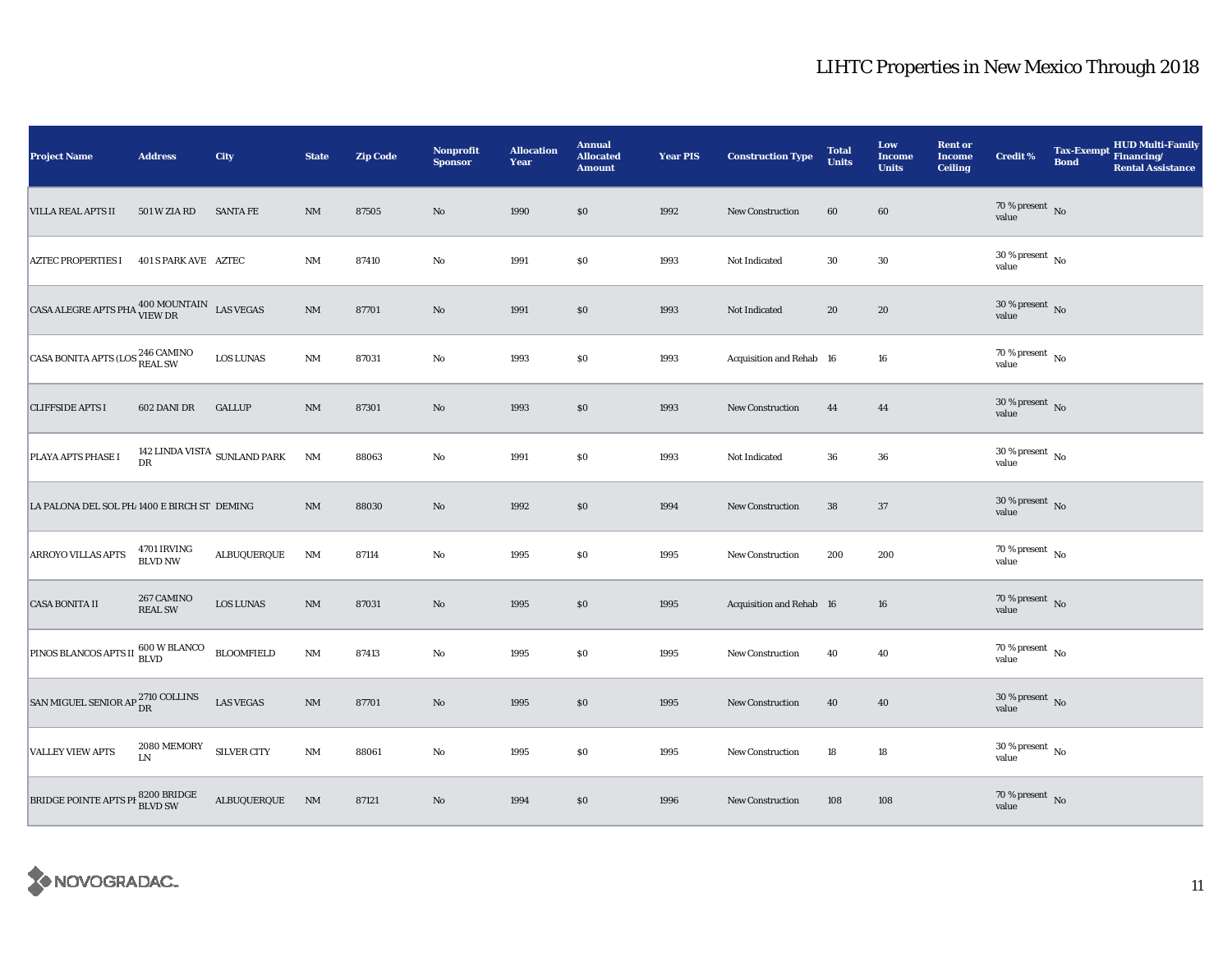| <b>Project Name</b>                                                                                                                      | <b>Address</b>                | City                                  | <b>State</b>   | <b>Zip Code</b> | Nonprofit<br><b>Sponsor</b> | <b>Allocation</b><br>Year | <b>Annual</b><br><b>Allocated</b><br><b>Amount</b> | <b>Year PIS</b> | <b>Construction Type</b> | <b>Total</b><br><b>Units</b> | Low<br><b>Income</b><br><b>Units</b> | <b>Rent or</b><br><b>Income</b><br><b>Ceiling</b> | <b>Credit %</b>                        | <b>Tax-Exempt</b><br><b>Bond</b> | HUD Multi-Family<br>Financing/<br><b>Rental Assistance</b> |
|------------------------------------------------------------------------------------------------------------------------------------------|-------------------------------|---------------------------------------|----------------|-----------------|-----------------------------|---------------------------|----------------------------------------------------|-----------------|--------------------------|------------------------------|--------------------------------------|---------------------------------------------------|----------------------------------------|----------------------------------|------------------------------------------------------------|
| <b>VILLA REAL APTS II</b>                                                                                                                | 501 W ZIA RD                  | <b>SANTA FE</b>                       | $\rm{NM}$      | 87505           | $\rm No$                    | 1990                      | \$0                                                | 1992            | <b>New Construction</b>  | 60                           | 60                                   |                                                   | 70 % present $\hbox{~No}$<br>value     |                                  |                                                            |
| <b>AZTEC PROPERTIES I</b>                                                                                                                | 401 S PARK AVE AZTEC          |                                       | $\mathbf{NM}$  | 87410           | No                          | 1991                      | \$0                                                | 1993            | Not Indicated            | 30                           | 30                                   |                                                   | 30 % present $\,$ No $\,$<br>value     |                                  |                                                            |
| $\begin{tabular}{ c c c c } \hline ~~\textbf{CASA ALEGRE APTS PHA} & \textbf{400 MOUNTAIN} & \textbf{LAS VEGAS} \\ \hline \end{tabular}$ |                               |                                       | $\rm{NM}$      | 87701           | $\rm No$                    | 1991                      | \$0                                                | 1993            | Not Indicated            | 20                           | 20                                   |                                                   | $30\,\%$ present $\,$ No value         |                                  |                                                            |
| CASA BONITA APTS (LOS $_{\rm{REAL~SW}}^{246~\rm{CAMINO}}$                                                                                |                               | <b>LOS LUNAS</b>                      | NM             | 87031           | No                          | 1993                      | \$0                                                | 1993            | Acquisition and Rehab 16 |                              | 16                                   |                                                   | $70$ % present $\,$ No value           |                                  |                                                            |
| <b>CLIFFSIDE APTS I</b>                                                                                                                  | 602 DANI DR                   | <b>GALLUP</b>                         | NM             | 87301           | $\rm No$                    | 1993                      | \$0                                                | 1993            | <b>New Construction</b>  | 44                           | 44                                   |                                                   | $30\,\%$ present $\,$ No value         |                                  |                                                            |
| PLAYA APTS PHASE I                                                                                                                       | DR                            | 142 LINDA VISTA $_{\rm SUNLAND}$ PARK | NM             | 88063           | No                          | 1991                      | \$0                                                | 1993            | Not Indicated            | 36                           | 36                                   |                                                   | $30\,\%$ present $\,$ No $\,$<br>value |                                  |                                                            |
| LA PALONA DEL SOL PH/1400 E BIRCH ST DEMING                                                                                              |                               |                                       | NM             | 88030           | $\rm No$                    | 1992                      | $\$0$                                              | 1994            | <b>New Construction</b>  | 38                           | 37                                   |                                                   | $30\,\%$ present $\,$ No value         |                                  |                                                            |
| ARROYO VILLAS APTS                                                                                                                       | 4701 IRVING<br><b>BLVD NW</b> | ALBUQUERQUE                           | NM             | 87114           | No                          | 1995                      | \$0                                                | 1995            | New Construction         | 200                          | 200                                  |                                                   | 70 % present $\,$ No $\,$<br>value     |                                  |                                                            |
| <b>CASA BONITA II</b>                                                                                                                    | 267 CAMINO<br><b>REAL SW</b>  | <b>LOS LUNAS</b>                      | $\rm{NM}$      | 87031           | $\rm No$                    | 1995                      | \$0                                                | 1995            | Acquisition and Rehab 16 |                              | 16                                   |                                                   | $70\,\%$ present $\,$ No value         |                                  |                                                            |
| PINOS BLANCOS APTS II 600 W BLANCO                                                                                                       |                               | <b>BLOOMFIELD</b>                     | <b>NM</b>      | 87413           | $\rm No$                    | 1995                      | \$0                                                | 1995            | <b>New Construction</b>  | 40                           | 40                                   |                                                   | $70$ % present $$\rm{No}$$ value       |                                  |                                                            |
| SAN MIGUEL SENIOR AP <sup>2710</sup> COLLINS                                                                                             |                               | <b>LAS VEGAS</b>                      | NM             | 87701           | No                          | 1995                      | \$0                                                | 1995            | New Construction         | 40                           | 40                                   |                                                   | $30\,\%$ present $\,$ No value         |                                  |                                                            |
| <b>VALLEY VIEW APTS</b>                                                                                                                  | $2080\ \mathrm{MEMORY}$ LN    | <b>SILVER CITY</b>                    | <b>NM</b>      | 88061           | No                          | 1995                      | \$0                                                | 1995            | <b>New Construction</b>  | 18                           | $18\,$                               |                                                   | $30\,\%$ present $\,$ No value         |                                  |                                                            |
| BRIDGE POINTE APTS PI BLVD SW                                                                                                            |                               | ALBUQUERQUE                           | N <sub>M</sub> | 87121           | No                          | 1994                      | $\$0$                                              | 1996            | <b>New Construction</b>  | 108                          | 108                                  |                                                   | 70 % present No<br>value               |                                  |                                                            |

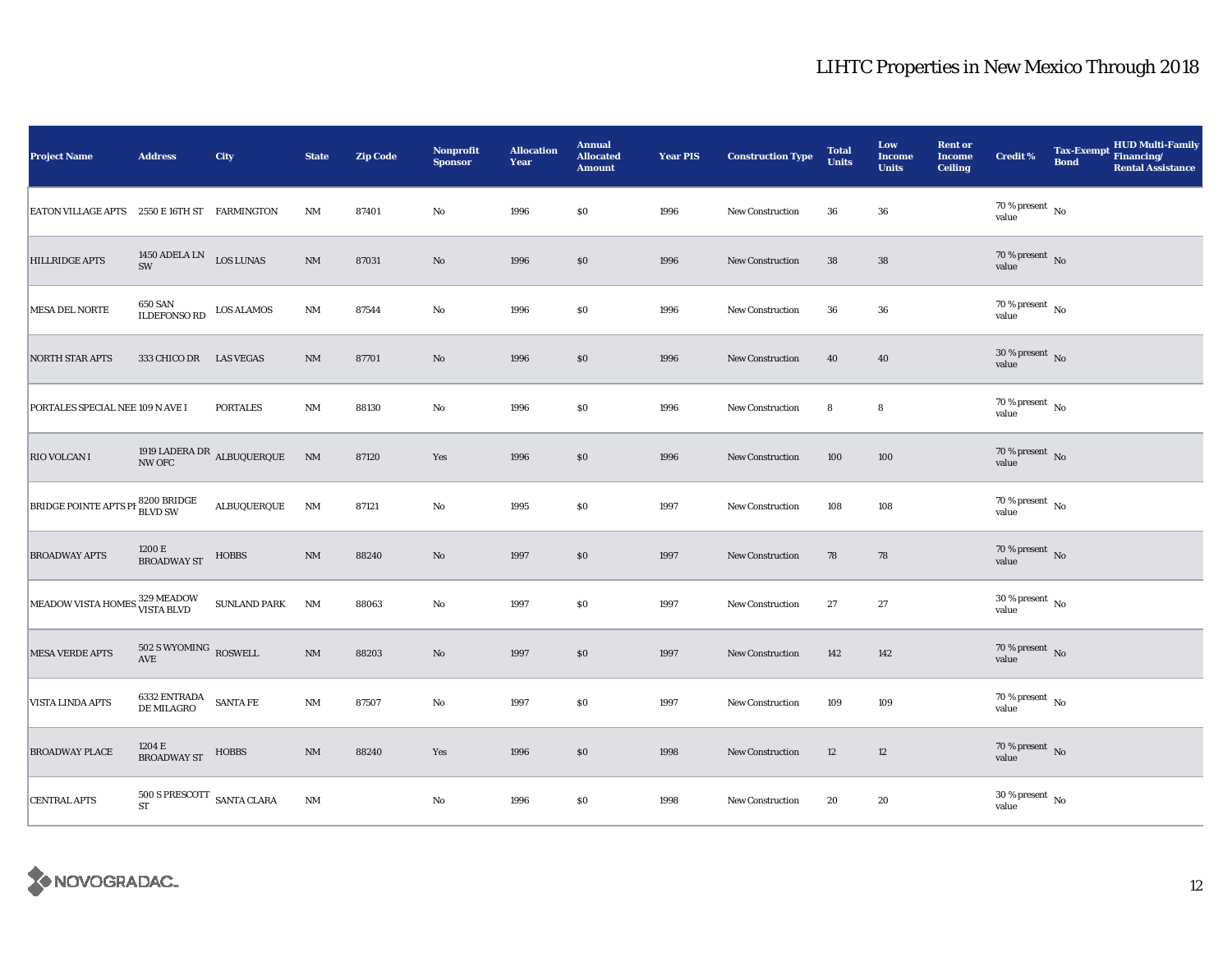| <b>Project Name</b>                          | <b>Address</b>                                                    | City                                | <b>State</b>   | <b>Zip Code</b> | Nonprofit<br><b>Sponsor</b> | <b>Allocation</b><br>Year | <b>Annual</b><br><b>Allocated</b><br><b>Amount</b> | <b>Year PIS</b> | <b>Construction Type</b> | <b>Total</b><br><b>Units</b> | Low<br><b>Income</b><br><b>Units</b> | <b>Rent or</b><br><b>Income</b><br><b>Ceiling</b> | <b>Credit %</b>                        | <b>Tax-Exempt</b><br><b>Bond</b> | HUD Multi-Family<br>Financing/<br><b>Rental Assistance</b> |
|----------------------------------------------|-------------------------------------------------------------------|-------------------------------------|----------------|-----------------|-----------------------------|---------------------------|----------------------------------------------------|-----------------|--------------------------|------------------------------|--------------------------------------|---------------------------------------------------|----------------------------------------|----------------------------------|------------------------------------------------------------|
| EATON VILLAGE APTS 2550 E 16TH ST FARMINGTON |                                                                   |                                     | NM             | 87401           | No                          | 1996                      | $\$0$                                              | 1996            | New Construction         | 36                           | 36                                   |                                                   | 70 % present $\hbox{~No}$<br>value     |                                  |                                                            |
| <b>HILLRIDGE APTS</b>                        | 1450 ADELA LN LOS LUNAS<br>SW                                     |                                     | $\rm{NM}$      | 87031           | $\rm No$                    | 1996                      | $\$0$                                              | 1996            | <b>New Construction</b>  | 38                           | 38                                   |                                                   | $70\,\%$ present $\,$ No value         |                                  |                                                            |
| MESA DEL NORTE                               | <b>650 SAN</b><br><b>ILDEFONSO RD</b>                             | <b>LOS ALAMOS</b>                   | $\rm{NM}$      | 87544           | No                          | 1996                      | $\$0$                                              | 1996            | New Construction         | 36                           | 36                                   |                                                   | $70$ % present $$\rm{No}$$ value       |                                  |                                                            |
| <b>NORTH STAR APTS</b>                       | 333 CHICO DR LAS VEGAS                                            |                                     | NM             | 87701           | No                          | 1996                      | \$0                                                | 1996            | <b>New Construction</b>  | 40                           | 40                                   |                                                   | $30\,\%$ present $\,$ No value         |                                  |                                                            |
| PORTALES SPECIAL NEE 109 N AVE I             |                                                                   | <b>PORTALES</b>                     | NM             | 88130           | No                          | 1996                      | $\$0$                                              | 1996            | <b>New Construction</b>  | 8                            | 8                                    |                                                   | $70$ % present $_{\rm{No}}$            |                                  |                                                            |
| <b>RIO VOLCAN I</b>                          |                                                                   | 1919 LADERA DR $_{\rm ALBUQUERQUE}$ | N <sub>M</sub> | 87120           | Yes                         | 1996                      | \$0                                                | 1996            | New Construction         | 100                          | 100                                  |                                                   | 70 % present $\overline{N}$<br>value   |                                  |                                                            |
| <b>BRIDGE POINTE APTS PH 8200 BRIDGE</b>     |                                                                   | ALBUQUERQUE                         | NM             | 87121           | No                          | 1995                      | \$0                                                | 1997            | New Construction         | 108                          | 108                                  |                                                   | $70$ % present $$\rm{No}$$ value       |                                  |                                                            |
| <b>BROADWAY APTS</b>                         | 1200 E<br><b>BROADWAY ST</b>                                      | <b>HOBBS</b>                        | $\rm{NM}$      | 88240           | $\rm No$                    | 1997                      | \$0                                                | 1997            | New Construction         | 78                           | 78                                   |                                                   | $70$ % present $\,$ No value           |                                  |                                                            |
| MEADOW VISTA HOMES 329 MEADOW                |                                                                   | <b>SUNLAND PARK</b>                 | <b>NM</b>      | 88063           | $\rm No$                    | 1997                      | \$0                                                | 1997            | <b>New Construction</b>  | 27                           | 27                                   |                                                   | $30$ % present $\,$ No value           |                                  |                                                            |
| <b>MESA VERDE APTS</b>                       | $502$ S WYOMING $\,$ ROSWELL AVE                                  |                                     | $\rm{NM}$      | 88203           | $\rm No$                    | 1997                      | $\$0$                                              | 1997            | <b>New Construction</b>  | 142                          | 142                                  |                                                   | $70$ % present $\,$ No $\,$ value $\,$ |                                  |                                                            |
| VISTA LINDA APTS                             | $6332 \text{ ENTRADA} \quad \text{SANTA FE} \\ \text{DE MILAGRO}$ |                                     | NM             | 87507           | No                          | 1997                      | \$0                                                | 1997            | New Construction         | 109                          | 109                                  |                                                   | $70\,\%$ present $\,$ No value         |                                  |                                                            |
| <b>BROADWAY PLACE</b>                        | $1204\to$ BROADWAY ST                                             | <b>HOBBS</b>                        | NM             | 88240           | Yes                         | 1996                      | \$0                                                | 1998            | <b>New Construction</b>  | 12                           | 12                                   |                                                   | $70\,\%$ present $\,$ No value         |                                  |                                                            |
| <b>CENTRAL APTS</b>                          | $500$ S PRESCOTT $\;$ SANTA CLARA<br>${\rm ST}$                   |                                     | $\rm{NM}$      |                 | No                          | 1996                      | $\$0$                                              | 1998            | New Construction         | 20                           | 20                                   |                                                   | $30\,\%$ present $\,$ No value         |                                  |                                                            |

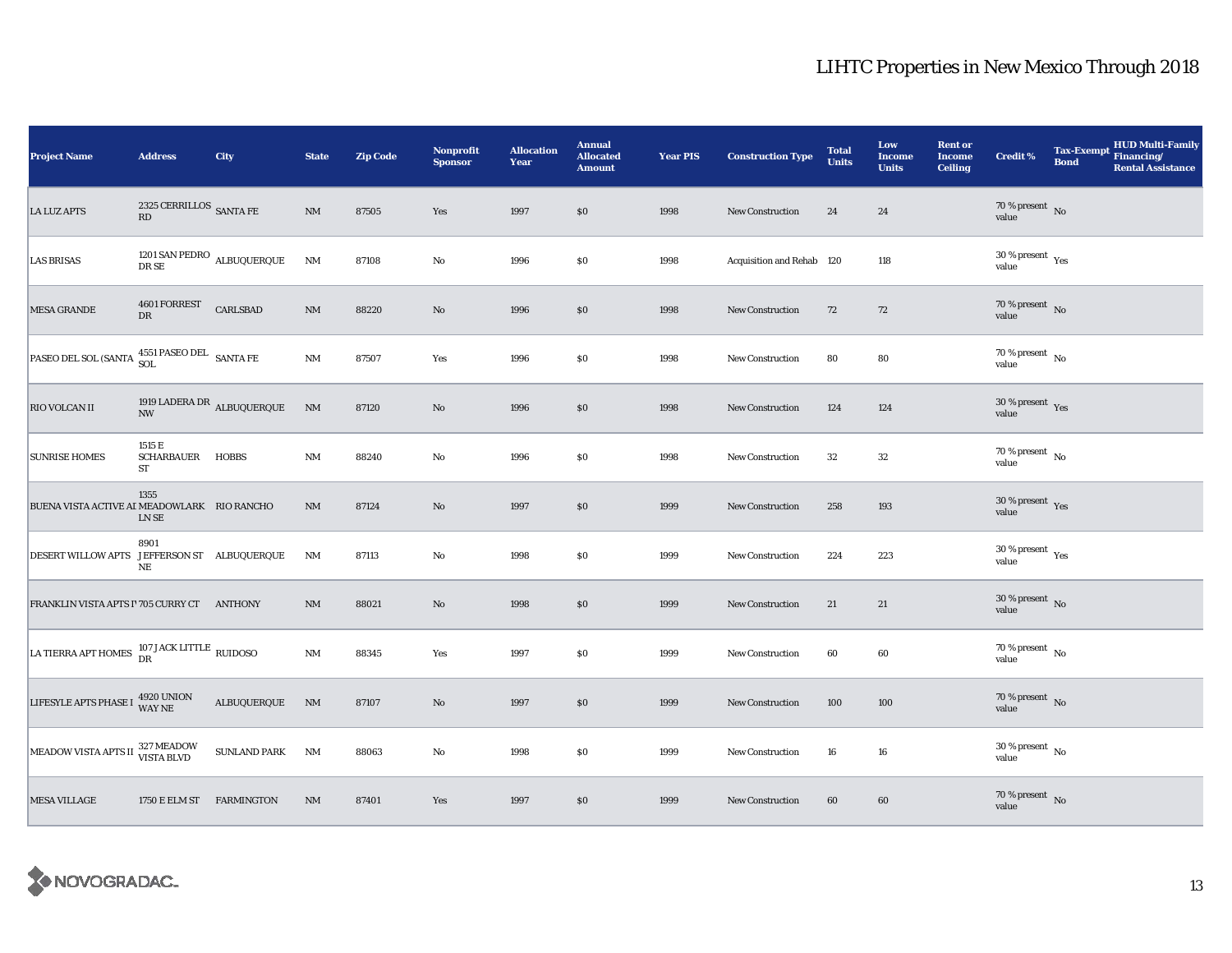| <b>Project Name</b>                                                 | <b>Address</b>                     | City                            | <b>State</b>           | <b>Zip Code</b> | Nonprofit<br><b>Sponsor</b> | <b>Allocation</b><br>Year | <b>Annual</b><br><b>Allocated</b><br><b>Amount</b> | <b>Year PIS</b> | <b>Construction Type</b>  | <b>Total</b><br><b>Units</b> | Low<br><b>Income</b><br><b>Units</b> | <b>Rent or</b><br><b>Income</b><br><b>Ceiling</b> | <b>Credit %</b>                      | <b>Tax-Exempt</b><br><b>Bond</b> | HUD Multi-Family<br>Financing/<br><b>Rental Assistance</b> |
|---------------------------------------------------------------------|------------------------------------|---------------------------------|------------------------|-----------------|-----------------------------|---------------------------|----------------------------------------------------|-----------------|---------------------------|------------------------------|--------------------------------------|---------------------------------------------------|--------------------------------------|----------------------------------|------------------------------------------------------------|
| <b>LA LUZ APTS</b>                                                  | 2325 CERRILLOS $\,$ SANTA FE<br>RD |                                 | NM                     | 87505           | Yes                         | 1997                      | \$0                                                | 1998            | New Construction          | 24                           | 24                                   |                                                   | $70$ % present $$\rm{No}$$ value     |                                  |                                                            |
| <b>LAS BRISAS</b>                                                   | DR SE                              | 1201 SAN PEDRO $\,$ ALBUQUERQUE | <b>NM</b>              | 87108           | No                          | 1996                      | \$0                                                | 1998            | Acquisition and Rehab 120 |                              | 118                                  |                                                   | $30\,\%$ present $\,$ Yes value      |                                  |                                                            |
| <b>MESA GRANDE</b>                                                  | 4601 FORREST<br>DR                 | CARLSBAD                        | $\rm{NM}$              | 88220           | $\rm No$                    | 1996                      | \$0                                                | 1998            | <b>New Construction</b>   | 72                           | 72                                   |                                                   | $70$ % present $$\rm{No}$$ value     |                                  |                                                            |
| PASEO DEL SOL (SANTA 4551 PASEO DEL SANTA FE                        |                                    |                                 | $\mathbf{N}\mathbf{M}$ | 87507           | Yes                         | 1996                      | \$0                                                | 1998            | <b>New Construction</b>   | 80                           | 80                                   |                                                   | $70$ % present $\,$ No value         |                                  |                                                            |
| <b>RIO VOLCAN II</b>                                                | $\ensuremath{\text{NW}}$           | 1919 LADERA DR ALBUQUERQUE      | N <sub>M</sub>         | 87120           | $\rm No$                    | 1996                      | \$0                                                | 1998            | <b>New Construction</b>   | 124                          | 124                                  |                                                   | $30\,\%$ present $\,$ Yes value      |                                  |                                                            |
| <b>SUNRISE HOMES</b>                                                | 1515 E<br>SCHARBAUER HOBBS<br>ST   |                                 | <b>NM</b>              | 88240           | No                          | 1996                      | \$0                                                | 1998            | New Construction          | 32                           | 32                                   |                                                   | $70$ % present $\,$ No $\,$<br>value |                                  |                                                            |
| BUENA VISTA ACTIVE AI MEADOWLARK RIO RANCHO                         | 1355<br>LN SE                      |                                 | NM                     | 87124           | $\rm No$                    | 1997                      | \$0                                                | 1999            | <b>New Construction</b>   | 258                          | 193                                  |                                                   | $30\,\%$ present $\,$ Yes value      |                                  |                                                            |
| DESERT WILLOW APTS JEFFERSON ST ALBUQUERQUE                         | 8901<br>$_{\rm NE}$                |                                 | NM                     | 87113           | No                          | 1998                      | \$0                                                | 1999            | New Construction          | 224                          | 223                                  |                                                   | $30\,\%$ present $\,$ Yes value      |                                  |                                                            |
| FRANKLIN VISTA APTS I'705 CURRY CT ANTHONY                          |                                    |                                 | $\rm{NM}$              | 88021           | $\rm No$                    | 1998                      | $\$0$                                              | 1999            | <b>New Construction</b>   | 21                           | 21                                   |                                                   | $30\,\%$ present $\,$ No value       |                                  |                                                            |
| LA TIERRA APT HOMES $^{107 \, \rm JACK \, LITILE}_{\rm DR}$ RUIDOSO |                                    |                                 | $\rm{NM}$              | 88345           | Yes                         | 1997                      | \$0                                                | 1999            | <b>New Construction</b>   | 60                           | 60                                   |                                                   | $70$ % present $$\rm{No}$$ value     |                                  |                                                            |
| LIFESYLE APTS PHASE I 4920 UNION                                    |                                    | ALBUQUERQUE                     | N <sub>M</sub>         | 87107           | No                          | 1997                      | \$0                                                | 1999            | <b>New Construction</b>   | 100                          | 100                                  |                                                   | $70\,\%$ present $\;$ No value       |                                  |                                                            |
| MEADOW VISTA APTS II 327 MEADOW                                     |                                    | <b>SUNLAND PARK</b>             | NM                     | 88063           | No                          | 1998                      | \$0                                                | 1999            | <b>New Construction</b>   | 16                           | 16                                   |                                                   | $30\,\%$ present $\,$ No value       |                                  |                                                            |
| <b>MESA VILLAGE</b>                                                 | 1750 E ELM ST FARMINGTON           |                                 | NM                     | 87401           | Yes                         | 1997                      | \$0                                                | 1999            | <b>New Construction</b>   | 60                           | 60                                   |                                                   | $70$ % present $_{\rm{No}}$          |                                  |                                                            |

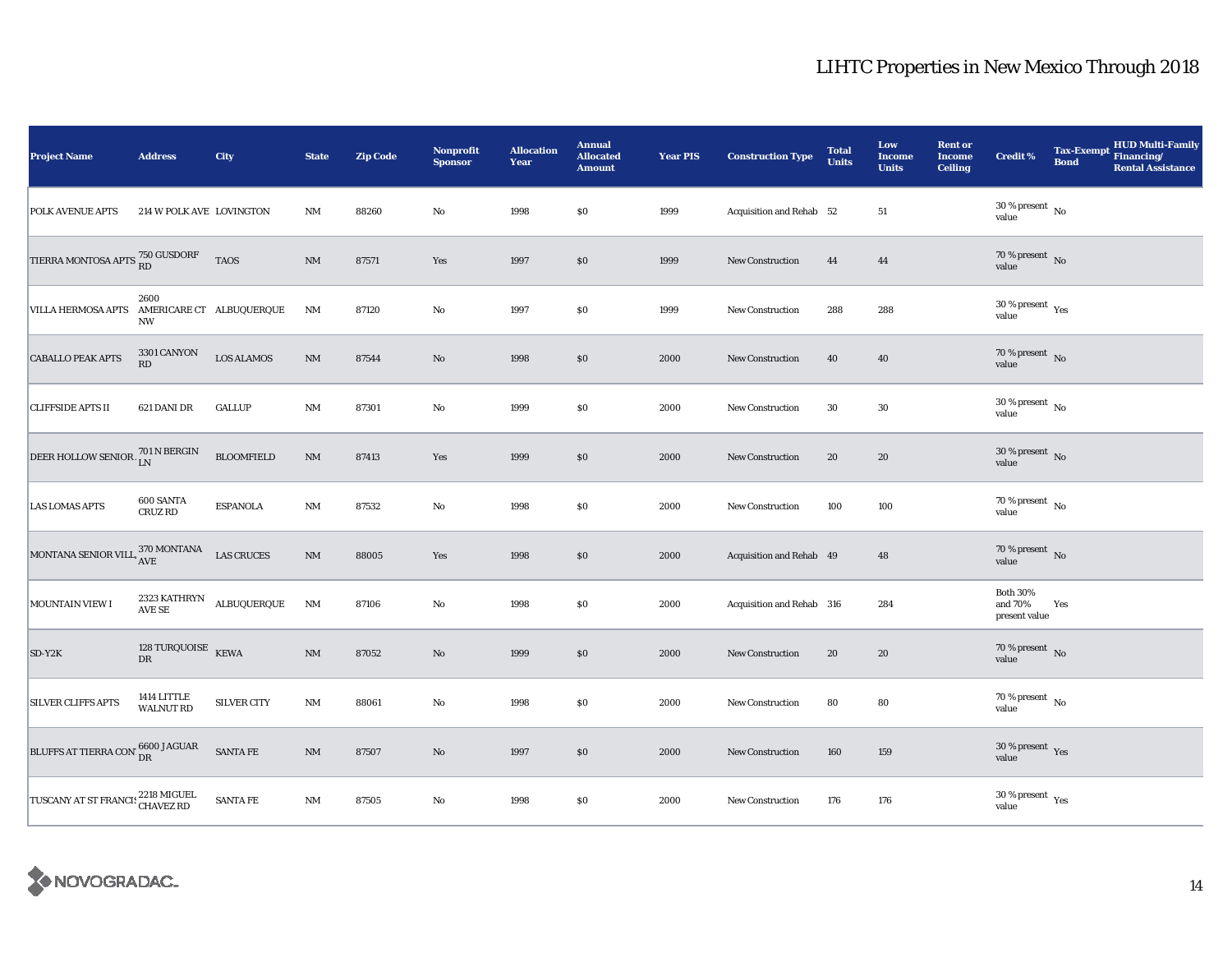| <b>Project Name</b>                                  | <b>Address</b>                           | City                                          | <b>State</b>           | <b>Zip Code</b> | Nonprofit<br><b>Sponsor</b> | <b>Allocation</b><br>Year | <b>Annual</b><br><b>Allocated</b><br><b>Amount</b> | <b>Year PIS</b> | <b>Construction Type</b>  | <b>Total</b><br><b>Units</b> | Low<br><b>Income</b><br><b>Units</b> | <b>Rent or</b><br><b>Income</b><br><b>Ceiling</b> | <b>Credit %</b>                             | <b>Tax-Exempt</b><br><b>Bond</b> | HUD Multi-Family<br>Financing/<br><b>Rental Assistance</b> |
|------------------------------------------------------|------------------------------------------|-----------------------------------------------|------------------------|-----------------|-----------------------------|---------------------------|----------------------------------------------------|-----------------|---------------------------|------------------------------|--------------------------------------|---------------------------------------------------|---------------------------------------------|----------------------------------|------------------------------------------------------------|
| <b>POLK AVENUE APTS</b>                              | 214 W POLK AVE LOVINGTON                 |                                               | $\rm{NM}$              | 88260           | No                          | 1998                      | $\$0$                                              | 1999            | Acquisition and Rehab 52  |                              | 51                                   |                                                   | $30\,\%$ present $\,$ No $\,$<br>value      |                                  |                                                            |
| TIERRA MONTOSA APTS $^{750}_{\rm \,RD}$ GUSDORF      |                                          | <b>TAOS</b>                                   | $\mathbf{N}\mathbf{M}$ | 87571           | Yes                         | 1997                      | \$0                                                | 1999            | New Construction          | 44                           | 44                                   |                                                   | $70$ % present $\,$ No value                |                                  |                                                            |
| VILLA HERMOSA APTS AMERICARE CT ALBUQUERQUE          | 2600<br><b>NW</b>                        |                                               | <b>NM</b>              | 87120           | $\rm No$                    | 1997                      | \$0                                                | 1999            | <b>New Construction</b>   | 288                          | 288                                  |                                                   | $30\,\%$ present $\,$ Yes value             |                                  |                                                            |
| <b>CABALLO PEAK APTS</b>                             | 3301 CANYON<br>RD                        | <b>LOS ALAMOS</b>                             | $\rm{NM}$              | 87544           | $\rm No$                    | 1998                      | \$0                                                | 2000            | <b>New Construction</b>   | 40                           | 40                                   |                                                   | $70\,\%$ present $\;$ No value              |                                  |                                                            |
| <b>CLIFFSIDE APTS II</b>                             | 621 DANI DR                              | <b>GALLUP</b>                                 | <b>NM</b>              | 87301           | No                          | 1999                      | \$0                                                | 2000            | <b>New Construction</b>   | 30                           | 30                                   |                                                   | $30$ % present $\,$ No value                |                                  |                                                            |
| DEER HOLLOW SENIOR $^{701\,N\,BERGIN}_{\quad \  LN}$ |                                          | <b>BLOOMFIELD</b>                             | NM                     | 87413           | Yes                         | 1999                      | \$0                                                | 2000            | <b>New Construction</b>   | 20                           | 20                                   |                                                   | $30\,\%$ present $\,$ No value              |                                  |                                                            |
| <b>LAS LOMAS APTS</b>                                | 600 SANTA<br>CRUZ RD                     | <b>ESPANOLA</b>                               | NM                     | 87532           | No                          | 1998                      | $\$0$                                              | 2000            | <b>New Construction</b>   | 100                          | 100                                  |                                                   | $70$ % present $$\rm{No}$$ value            |                                  |                                                            |
| MONTANA SENIOR VILL 370 MONTANA                      |                                          | <b>LAS CRUCES</b>                             | $\rm{NM}$              | 88005           | Yes                         | 1998                      | $\$0$                                              | 2000            | Acquisition and Rehab 49  |                              | 48                                   |                                                   | 70 % present $\bar{N}$ o<br>value           |                                  |                                                            |
| MOUNTAIN VIEW I                                      |                                          | $2323\,{\rm KATHRYN}\quad$ ALBUQUERQUE AVE SE | <b>NM</b>              | 87106           | $\rm No$                    | 1998                      | \$0                                                | 2000            | Acquisition and Rehab 316 |                              | 284                                  |                                                   | <b>Both 30%</b><br>and 70%<br>present value | Yes                              |                                                            |
| $SD-Y2K$                                             | 128 TURQUOISE $K\bar{E}WA$<br>${\rm DR}$ |                                               | $\mathbf{N}\mathbf{M}$ | 87052           | $\rm No$                    | 1999                      | $\$0$                                              | 2000            | <b>New Construction</b>   | 20                           | 20                                   |                                                   | $70$ % present $\,$ No value                |                                  |                                                            |
| <b>SILVER CLIFFS APTS</b>                            | 1414 LITTLE<br><b>WALNUT RD</b>          | <b>SILVER CITY</b>                            | <b>NM</b>              | 88061           | No                          | 1998                      | \$0                                                | 2000            | <b>New Construction</b>   | 80                           | 80                                   |                                                   | $70\,\%$ present $\,$ No value              |                                  |                                                            |
| BLUFFS AT TIERRA CON 6600 JAGUAR                     |                                          | SANTA FE                                      | $\mathbf{NM}$          | 87507           | $\rm No$                    | 1997                      | $\$0$                                              | 2000            | <b>New Construction</b>   | 160                          | 159                                  |                                                   | $30\,\%$ present $\,$ Yes value             |                                  |                                                            |
| TUSCANY AT ST FRANCIS 2218 MIGUEL                    |                                          | <b>SANTA FE</b>                               | $\rm{NM}$              | 87505           | No                          | 1998                      | $\$0$                                              | 2000            | <b>New Construction</b>   | 176                          | 176                                  |                                                   | $30\,\%$ present $\,$ Yes value             |                                  |                                                            |

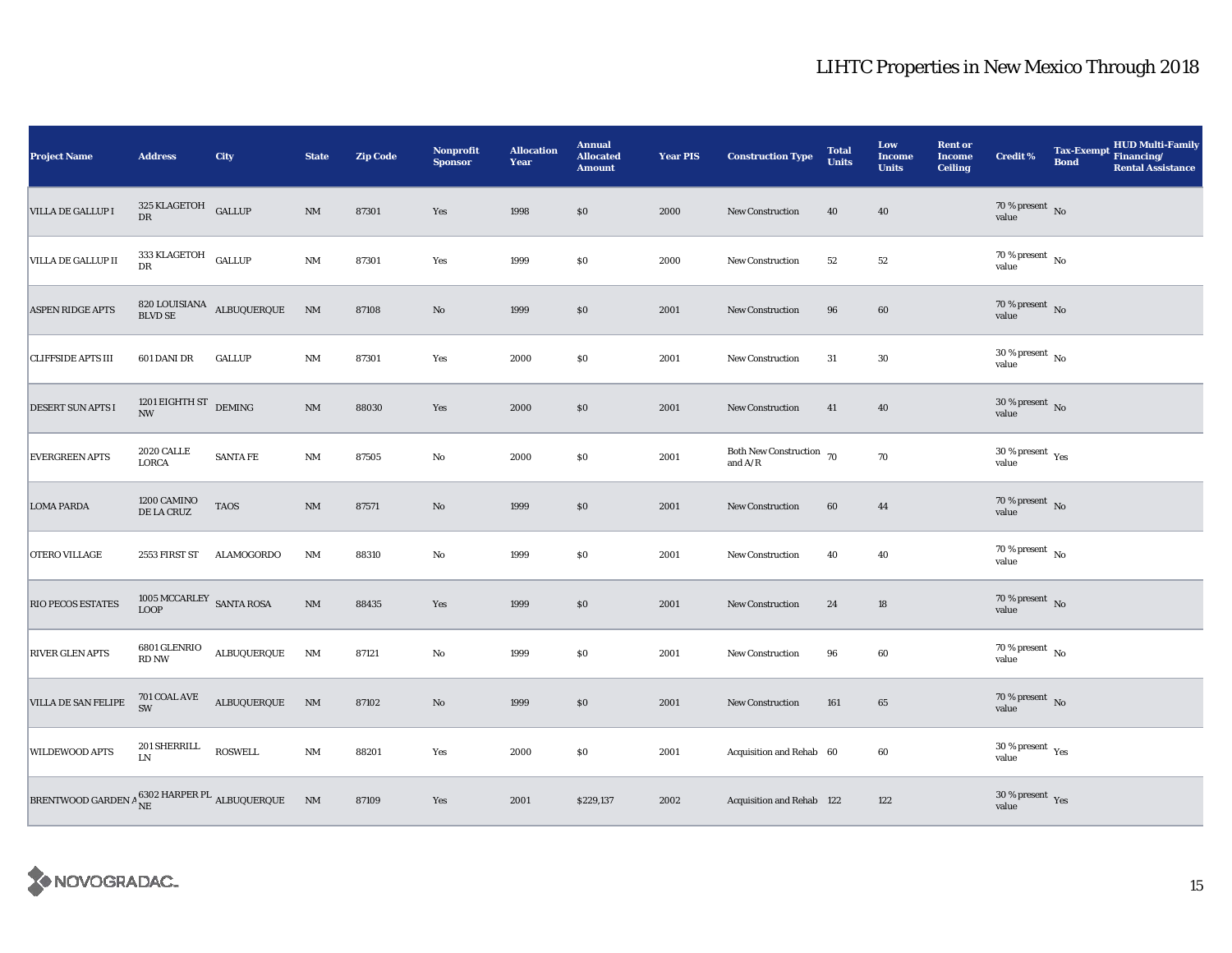| <b>Project Name</b>                                                                                                                                                                                | <b>Address</b>                                           | City                                     | <b>State</b>           | <b>Zip Code</b> | <b>Nonprofit</b><br><b>Sponsor</b> | <b>Allocation</b><br>Year | <b>Annual</b><br><b>Allocated</b><br><b>Amount</b> | <b>Year PIS</b> | <b>Construction Type</b>                  | <b>Total</b><br><b>Units</b> | Low<br><b>Income</b><br><b>Units</b> | <b>Rent or</b><br><b>Income</b><br><b>Ceiling</b> | <b>Credit %</b>                        | <b>Tax-Exempt</b><br><b>Bond</b> | HUD Multi-Family<br>Financing/<br><b>Rental Assistance</b> |
|----------------------------------------------------------------------------------------------------------------------------------------------------------------------------------------------------|----------------------------------------------------------|------------------------------------------|------------------------|-----------------|------------------------------------|---------------------------|----------------------------------------------------|-----------------|-------------------------------------------|------------------------------|--------------------------------------|---------------------------------------------------|----------------------------------------|----------------------------------|------------------------------------------------------------|
| VILLA DE GALLUP I                                                                                                                                                                                  | 325 KLAGETOH GALLUP<br>DR                                |                                          | $\rm{NM}$              | 87301           | Yes                                | 1998                      | \$0\$                                              | 2000            | <b>New Construction</b>                   | 40                           | 40                                   |                                                   | 70 % present $\hbox{~No}$<br>value     |                                  |                                                            |
| VILLA DE GALLUP II                                                                                                                                                                                 | 333 KLAGETOH GALLUP<br>DR                                |                                          | $\mathbf{N}\mathbf{M}$ | 87301           | Yes                                | 1999                      | \$0                                                | 2000            | New Construction                          | 52                           | 52                                   |                                                   | $70$ % present $\,$ No value           |                                  |                                                            |
| <b>ASPEN RIDGE APTS</b>                                                                                                                                                                            |                                                          | $820$ LOUISIANA $\;$ ALBUQUERQUE BLVD SE | <b>NM</b>              | 87108           | $\rm No$                           | 1999                      | $\$0$                                              | 2001            | New Construction                          | 96                           | 60                                   |                                                   | $70$ % present $$\rm{No}$$ value       |                                  |                                                            |
| <b>CLIFFSIDE APTS III</b>                                                                                                                                                                          | 601 DANI DR                                              | <b>GALLUP</b>                            | $\rm{NM}$              | 87301           | Yes                                | 2000                      | \$0                                                | 2001            | <b>New Construction</b>                   | 31                           | $30\,$                               |                                                   | $30\,\%$ present $\,$ No value         |                                  |                                                            |
| DESERT SUN APTS I                                                                                                                                                                                  | 1201 EIGHTH ST $$\rm{DEMING}$$<br>$\mathbf{N}\mathbf{W}$ |                                          | $\rm{NM}$              | 88030           | Yes                                | 2000                      | \$0                                                | 2001            | <b>New Construction</b>                   | 41                           | 40                                   |                                                   | $30$ % present $\,$ No value           |                                  |                                                            |
| <b>EVERGREEN APTS</b>                                                                                                                                                                              | <b>2020 CALLE</b><br>LORCA                               | <b>SANTA FE</b>                          | $\mathbf{N}\mathbf{M}$ | 87505           | $\mathbf{No}$                      | 2000                      | $\$0$                                              | 2001            | Both New Construction 70<br>and $\rm A/R$ |                              | $70\,$                               |                                                   | $30$ % present $\,$ $\rm Yes$<br>value |                                  |                                                            |
| <b>LOMA PARDA</b>                                                                                                                                                                                  | 1200 CAMINO<br>DE LA CRUZ                                | <b>TAOS</b>                              | $\mathbf{NM}$          | 87571           | $\rm No$                           | 1999                      | \$0\$                                              | 2001            | New Construction                          | 60                           | 44                                   |                                                   | $70\,\%$ present $\;$ No value         |                                  |                                                            |
| OTERO VILLAGE                                                                                                                                                                                      | 2553 FIRST ST                                            | <b>ALAMOGORDO</b>                        | <b>NM</b>              | 88310           | $\rm No$                           | 1999                      | $\$0$                                              | 2001            | <b>New Construction</b>                   | 40                           | 40                                   |                                                   | $70\,\%$ present $\,$ No value         |                                  |                                                            |
| RIO PECOS ESTATES                                                                                                                                                                                  | $1005\,\mathrm{MCCARLEY}\xspace$ SANTA ROSA LOOP         |                                          | $\rm{NM}$              | 88435           | Yes                                | 1999                      | \$0                                                | 2001            | New Construction                          | 24                           | 18                                   |                                                   | 70 % present No<br>value               |                                  |                                                            |
| <b>RIVER GLEN APTS</b>                                                                                                                                                                             | 6801 GLENRIO<br>RD NW                                    | ALBUQUERQUE                              | NM                     | 87121           | No                                 | 1999                      | \$0                                                | 2001            | New Construction                          | 96                           | 60                                   |                                                   | 70 % present $\hbox{~No}$<br>value     |                                  |                                                            |
| <b>VILLA DE SAN FELIPE</b>                                                                                                                                                                         | 701 COAL AVE<br><b>SW</b>                                | <b>ALBUQUERQUE</b>                       | NM                     | 87102           | $\rm No$                           | 1999                      | $\$0$                                              | 2001            | New Construction                          | 161                          | 65                                   |                                                   | $70\,\%$ present $\,$ No value         |                                  |                                                            |
| <b>WILDEWOOD APTS</b>                                                                                                                                                                              | 201 SHERRILL<br>${\rm LN}$                               | ROSWELL                                  | $\rm{NM}$              | 88201           | Yes                                | 2000                      | <b>SO</b>                                          | 2001            | Acquisition and Rehab 60                  |                              | 60                                   |                                                   | $30\,\%$ present $\,$ Yes value        |                                  |                                                            |
| $\begin{tabular}{ l l } \hline \texttt{BRENTWOOD GARDEN}\,\texttt{A}\, & \hspace{-0.5cm}\textbf{8302 HARPER PL}\,\texttt{ALBUQUERQUE} \hspace{-0.5cm} & \hspace{-0.5cm} \textbf{NM} \end{tabular}$ |                                                          |                                          |                        | 87109           | Yes                                | 2001                      | \$229,137                                          | 2002            | Acquisition and Rehab 122                 |                              | 122                                  |                                                   | $30\,\%$ present $\,$ Yes value        |                                  |                                                            |

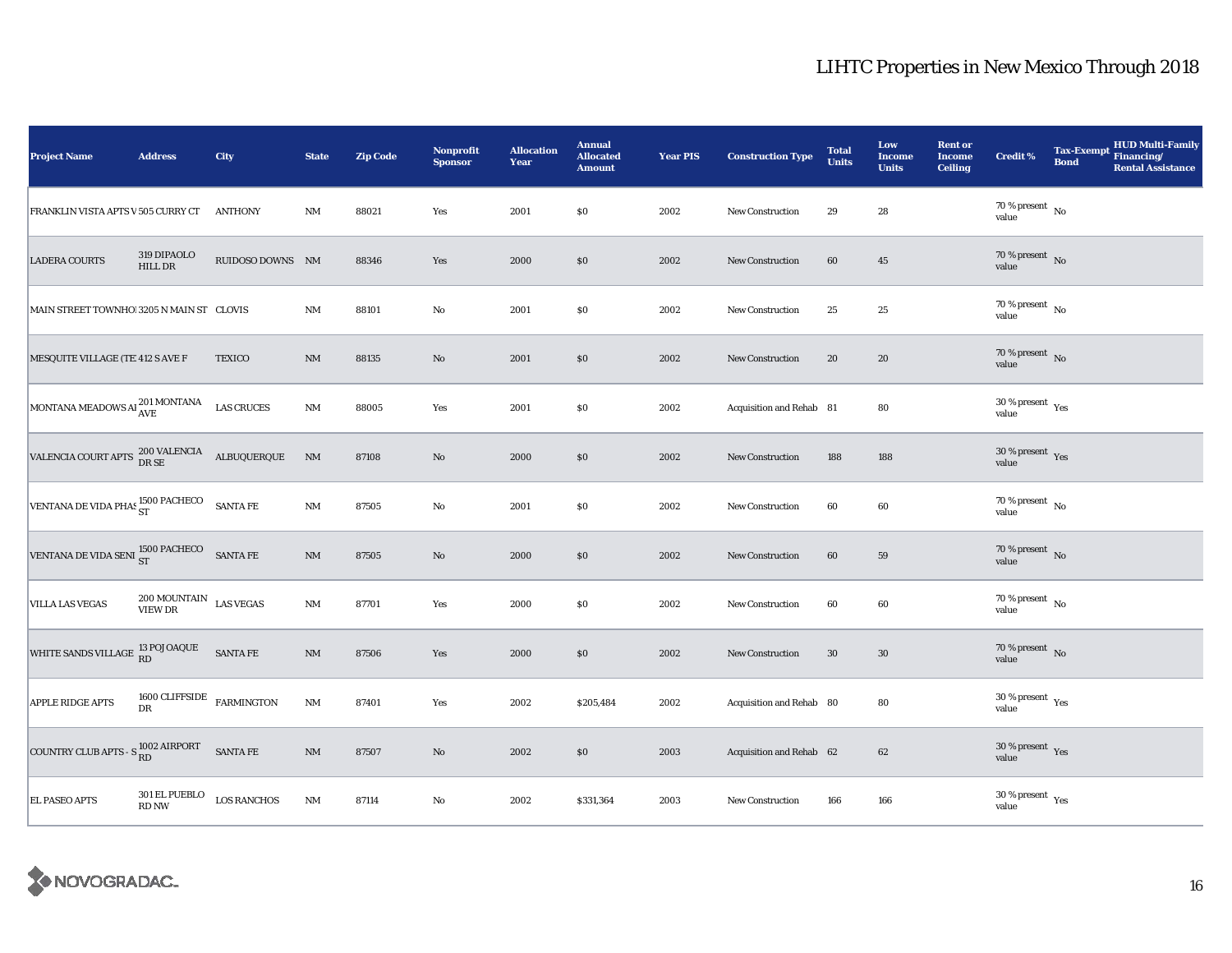| <b>Project Name</b>                                                                                                                                                    | <b>Address</b>                                 | City              | <b>State</b>           | <b>Zip Code</b> | Nonprofit<br><b>Sponsor</b> | <b>Allocation</b><br>Year | <b>Annual</b><br><b>Allocated</b><br><b>Amount</b> | <b>Year PIS</b> | <b>Construction Type</b> | <b>Total</b><br><b>Units</b> | Low<br><b>Income</b><br><b>Units</b> | <b>Rent or</b><br><b>Income</b><br><b>Ceiling</b> | <b>Credit %</b>                        | <b>Tax-Exempt</b><br><b>Bond</b> | HUD Multi-Family<br>Financing/<br><b>Rental Assistance</b> |
|------------------------------------------------------------------------------------------------------------------------------------------------------------------------|------------------------------------------------|-------------------|------------------------|-----------------|-----------------------------|---------------------------|----------------------------------------------------|-----------------|--------------------------|------------------------------|--------------------------------------|---------------------------------------------------|----------------------------------------|----------------------------------|------------------------------------------------------------|
| FRANKLIN VISTA APTS V 505 CURRY CT                                                                                                                                     |                                                | <b>ANTHONY</b>    | NM                     | 88021           | Yes                         | 2001                      | $\$0$                                              | 2002            | New Construction         | 29                           | $\bf 28$                             |                                                   | 70 % present $\hbox{~No}$<br>value     |                                  |                                                            |
| <b>LADERA COURTS</b>                                                                                                                                                   | 319 DIPAOLO<br>HILL DR                         | RUIDOSO DOWNS NM  |                        | 88346           | Yes                         | 2000                      | \$0                                                | 2002            | <b>New Construction</b>  | 60                           | $45\,$                               |                                                   | $70$ % present $\,$ No value           |                                  |                                                            |
| MAIN STREET TOWNHO! 3205 N MAIN ST CLOVIS                                                                                                                              |                                                |                   | $\rm{NM}$              | 88101           | $\rm No$                    | 2001                      | $\$0$                                              | 2002            | <b>New Construction</b>  | 25                           | 25                                   |                                                   | $70\,\%$ present $\,$ No $\,$<br>value |                                  |                                                            |
| MESQUITE VILLAGE (TE 412 S AVE F                                                                                                                                       |                                                | <b>TEXICO</b>     | NM                     | 88135           | $\rm No$                    | 2001                      | \$0                                                | 2002            | <b>New Construction</b>  | 20                           | 20                                   |                                                   | $70$ % present $$\rm{No}$$ value       |                                  |                                                            |
| MONTANA MEADOWS AI 201 MONTANA                                                                                                                                         |                                                | <b>LAS CRUCES</b> | $\mathbf{N}\mathbf{M}$ | 88005           | Yes                         | 2001                      | $\$0$                                              | 2002            | Acquisition and Rehab 81 |                              | 80                                   |                                                   | $30\,\%$ present $\,$ Yes value        |                                  |                                                            |
| $\begin{array}{lll} \textbf{VALENCIA \;COURT \; APTS} & \begin{array}{l} 200 \; \textbf{VALENCIA} \\ \textbf{DR \; SE} \end{array} & \textbf{ALBUQUERQUE} \end{array}$ |                                                |                   | $\mathbf{N}\mathbf{M}$ | 87108           | No                          | 2000                      | \$0                                                | 2002            | <b>New Construction</b>  | 188                          | 188                                  |                                                   | $30\,\%$ present $\,$ Yes value        |                                  |                                                            |
| VENTANA DE VIDA PHAS 1500 PACHECO SANTA FE                                                                                                                             |                                                |                   | $\rm{NM}$              | 87505           | $\rm\thinspace No$          | 2001                      | $\$0$                                              | 2002            | <b>New Construction</b>  | 60                           | 60                                   |                                                   | $70$ % present $$\rm{No}$$ value       |                                  |                                                            |
| VENTANA DE VIDA SENI 1500 PACHECO SANTA FE                                                                                                                             |                                                |                   | $\rm{NM}$              | 87505           | $\rm No$                    | 2000                      | \$0                                                | 2002            | <b>New Construction</b>  | 60                           | 59                                   |                                                   | $70\,\%$ present $\,$ No value         |                                  |                                                            |
| <b>VILLA LAS VEGAS</b>                                                                                                                                                 | $200\, \mbox{MOUNTAIN}\quad$ LAS VEGAS VIEW DR |                   | $\rm{NM}$              | 87701           | Yes                         | 2000                      | \$0                                                | 2002            | New Construction         | 60                           | 60                                   |                                                   | $70$ % present $$\rm{No}$$ value       |                                  |                                                            |
| WHITE SANDS VILLAGE 13 POJOAQUE                                                                                                                                        |                                                | SANTA FE          | NM                     | 87506           | Yes                         | 2000                      | \$0\$                                              | 2002            | <b>New Construction</b>  | 30                           | 30                                   |                                                   | $70\,\%$ present $\,$ No value         |                                  |                                                            |
| <b>APPLE RIDGE APTS</b>                                                                                                                                                | 1600 CLIFFSIDE $$\tt FARMINGTON$$<br>DR        |                   | $\rm{NM}$              | 87401           | Yes                         | 2002                      | \$205,484                                          | 2002            | Acquisition and Rehab 80 |                              | 80                                   |                                                   | $30\,\%$ present $\,$ Yes value        |                                  |                                                            |
| COUNTRY CLUB APTS - $S_{RD}^{1002 \text{ AIRPORT}}$                                                                                                                    |                                                | <b>SANTA FE</b>   | $\rm{NM}$              | 87507           | $\rm No$                    | 2002                      | \$0                                                | 2003            | Acquisition and Rehab 62 |                              | 62                                   |                                                   | $30$ % present $\,$ $\rm Yes$<br>value |                                  |                                                            |
| <b>EL PASEO APTS</b>                                                                                                                                                   | $301$ EL PUEBLO $_{\rm{LOS}}$ RANCHOS<br>RD NW |                   | $\rm{NM}$              | 87114           | $\rm No$                    | 2002                      | \$331,364                                          | 2003            | <b>New Construction</b>  | 166                          | 166                                  |                                                   | $30\,\%$ present $\,$ Yes value        |                                  |                                                            |

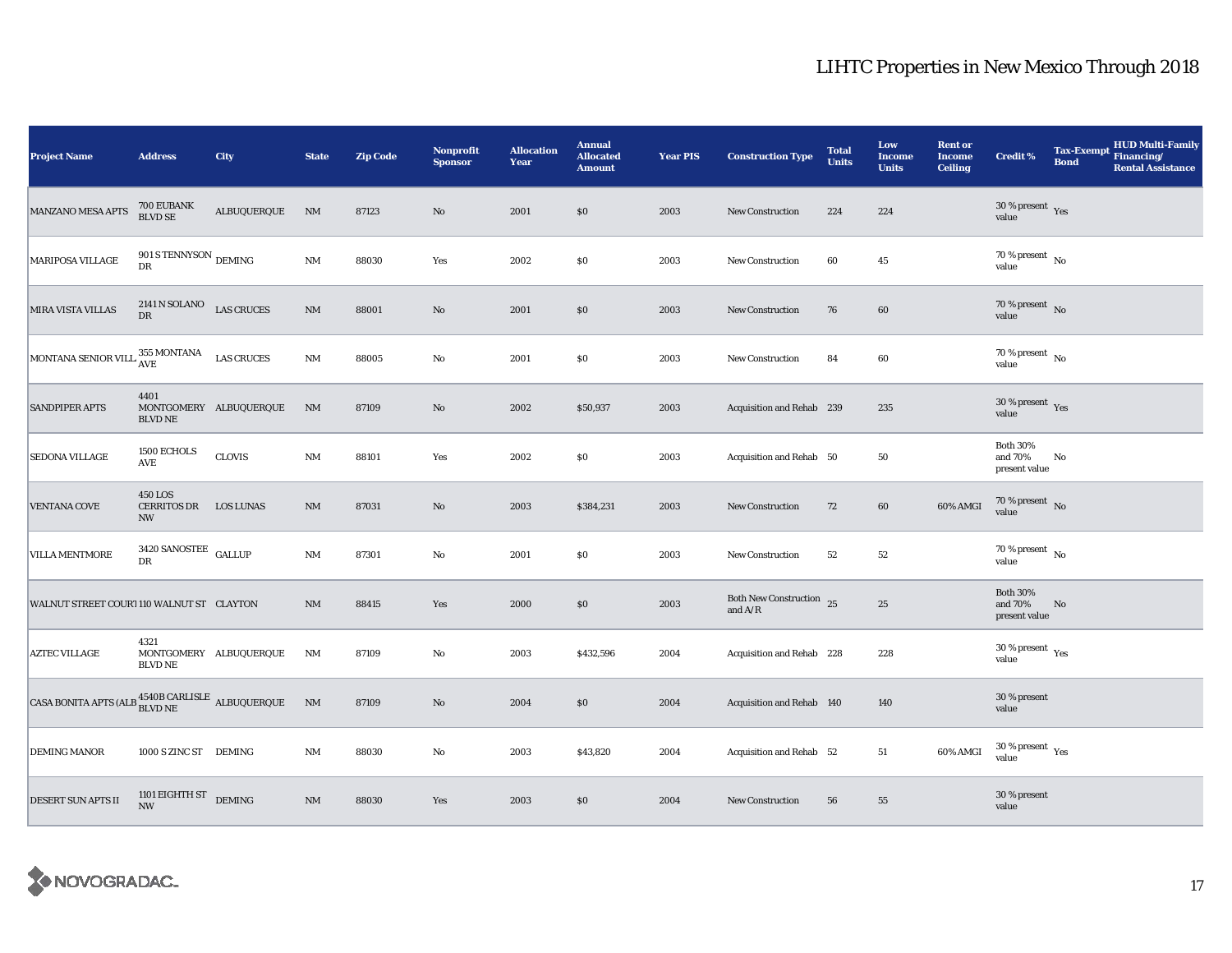| <b>Project Name</b>                                                   | <b>Address</b>                                   | City                   | <b>State</b> | <b>Zip Code</b> | Nonprofit<br><b>Sponsor</b> | <b>Allocation</b><br>Year | <b>Annual</b><br><b>Allocated</b><br><b>Amount</b> | <b>Year PIS</b> | <b>Construction Type</b>              | <b>Total</b><br><b>Units</b> | Low<br><b>Income</b><br><b>Units</b> | <b>Rent or</b><br><b>Income</b><br><b>Ceiling</b> | <b>Credit %</b>                             | <b>Tax-Exempt</b><br><b>Bond</b> | HUD Multi-Family<br>Financing/<br><b>Rental Assistance</b> |
|-----------------------------------------------------------------------|--------------------------------------------------|------------------------|--------------|-----------------|-----------------------------|---------------------------|----------------------------------------------------|-----------------|---------------------------------------|------------------------------|--------------------------------------|---------------------------------------------------|---------------------------------------------|----------------------------------|------------------------------------------------------------|
| <b>MANZANO MESA APTS</b>                                              | 700 EUBANK<br>BLVD SE                            | ALBUQUERQUE            | NM           | 87123           | $\rm No$                    | 2001                      | \$0\$                                              | 2003            | <b>New Construction</b>               | 224                          | 224                                  |                                                   | $30$ % present $\,$ $\rm Yes$<br>value      |                                  |                                                            |
| <b>MARIPOSA VILLAGE</b>                                               | 901 S TENNYSON $_{\rm DEMING}$<br>DR             |                        | $\rm{NM}$    | 88030           | Yes                         | 2002                      | $\$0$                                              | 2003            | <b>New Construction</b>               | 60                           | 45                                   |                                                   | 70 % present $\,$ No $\,$<br>value          |                                  |                                                            |
| MIRA VISTA VILLAS                                                     | $2141$ N SOLANO $$\sf LAS$ CRUCES DR             |                        | $\rm{NM}$    | 88001           | $\rm No$                    | 2001                      | \$0                                                | 2003            | <b>New Construction</b>               | 76                           | 60                                   |                                                   | $70$ % present $\,$ No value                |                                  |                                                            |
| MONTANA SENIOR VILL 355 MONTANA                                       |                                                  | <b>LAS CRUCES</b>      | $\rm{NM}$    | 88005           | $\rm No$                    | 2001                      | $\$0$                                              | 2003            | New Construction                      | 84                           | 60                                   |                                                   | $70$ % present $\,$ No $\,$<br>value        |                                  |                                                            |
| <b>SANDPIPER APTS</b>                                                 | 4401<br>MONTGOMERY ALBUQUERQUE<br><b>BLVD NE</b> |                        | NM           | 87109           | $\rm No$                    | 2002                      | \$50,937                                           | 2003            | Acquisition and Rehab 239             |                              | 235                                  |                                                   | $30\,\%$ present $\,$ Yes value             |                                  |                                                            |
| <b>SEDONA VILLAGE</b>                                                 | 1500 ECHOLS<br>AVE                               | <b>CLOVIS</b>          | NM           | 88101           | Yes                         | 2002                      | $\$0$                                              | 2003            | Acquisition and Rehab 50              |                              | 50                                   |                                                   | <b>Both 30%</b><br>and 70%<br>present value | No                               |                                                            |
| <b>VENTANA COVE</b>                                                   | <b>450 LOS</b><br>CERRITOS DR<br><b>NW</b>       | <b>LOS LUNAS</b>       | NM           | 87031           | $\rm No$                    | 2003                      | \$384,231                                          | 2003            | New Construction                      | 72                           | 60                                   | 60% AMGI                                          | $70$ % present $\,$ No value                |                                  |                                                            |
| <b>VILLA MENTMORE</b>                                                 | 3420 SANOSTEE $\,$ GALLUP<br>DR                  |                        | NM           | 87301           | $\rm No$                    | 2001                      | $\$0$                                              | 2003            | <b>New Construction</b>               | 52                           | 52                                   |                                                   | $70$ % present $\,$ No $\,$<br>value        |                                  |                                                            |
| WALNUT STREET COUR1110 WALNUT ST CLAYTON                              |                                                  |                        | NM           | 88415           | Yes                         | 2000                      | $\$0$                                              | 2003            | Both New Construction 25<br>and $A/R$ |                              | $25\,$                               |                                                   | <b>Both 30%</b><br>and 70%<br>present value | No                               |                                                            |
| <b>AZTEC VILLAGE</b>                                                  | 4321<br><b>BLVD NE</b>                           | MONTGOMERY ALBUQUERQUE | NM           | 87109           | $_{\rm No}$                 | 2003                      | \$432,596                                          | 2004            | Acquisition and Rehab 228             |                              | 228                                  |                                                   | $30\,\%$ present $\,$ $\rm Yes$<br>value    |                                  |                                                            |
| CASA BONITA APTS (ALB $^{4540\mathrm{B}}_{\rm BLVD\, NE}$ ALBUQUERQUE |                                                  |                        | NM           | 87109           | $\rm No$                    | 2004                      | $\$0$                                              | 2004            | Acquisition and Rehab 140             |                              | 140                                  |                                                   | 30 % present<br>value                       |                                  |                                                            |
| <b>DEMING MANOR</b>                                                   | 1000 S ZINC ST DEMING                            |                        | $\rm{NM}$    | 88030           | $\rm No$                    | 2003                      | \$43,820                                           | 2004            | Acquisition and Rehab 52              |                              | 51                                   | 60% AMGI                                          | $30\,\%$ present $\,$ Yes value             |                                  |                                                            |
| <b>DESERT SUN APTS II</b>                                             | 1101 EIGHTH ST DEMING<br><b>NW</b>               |                        | $\rm{NM}$    | 88030           | Yes                         | 2003                      | \$0\$                                              | 2004            | New Construction                      | 56                           | 55                                   |                                                   | 30 % present<br>value                       |                                  |                                                            |

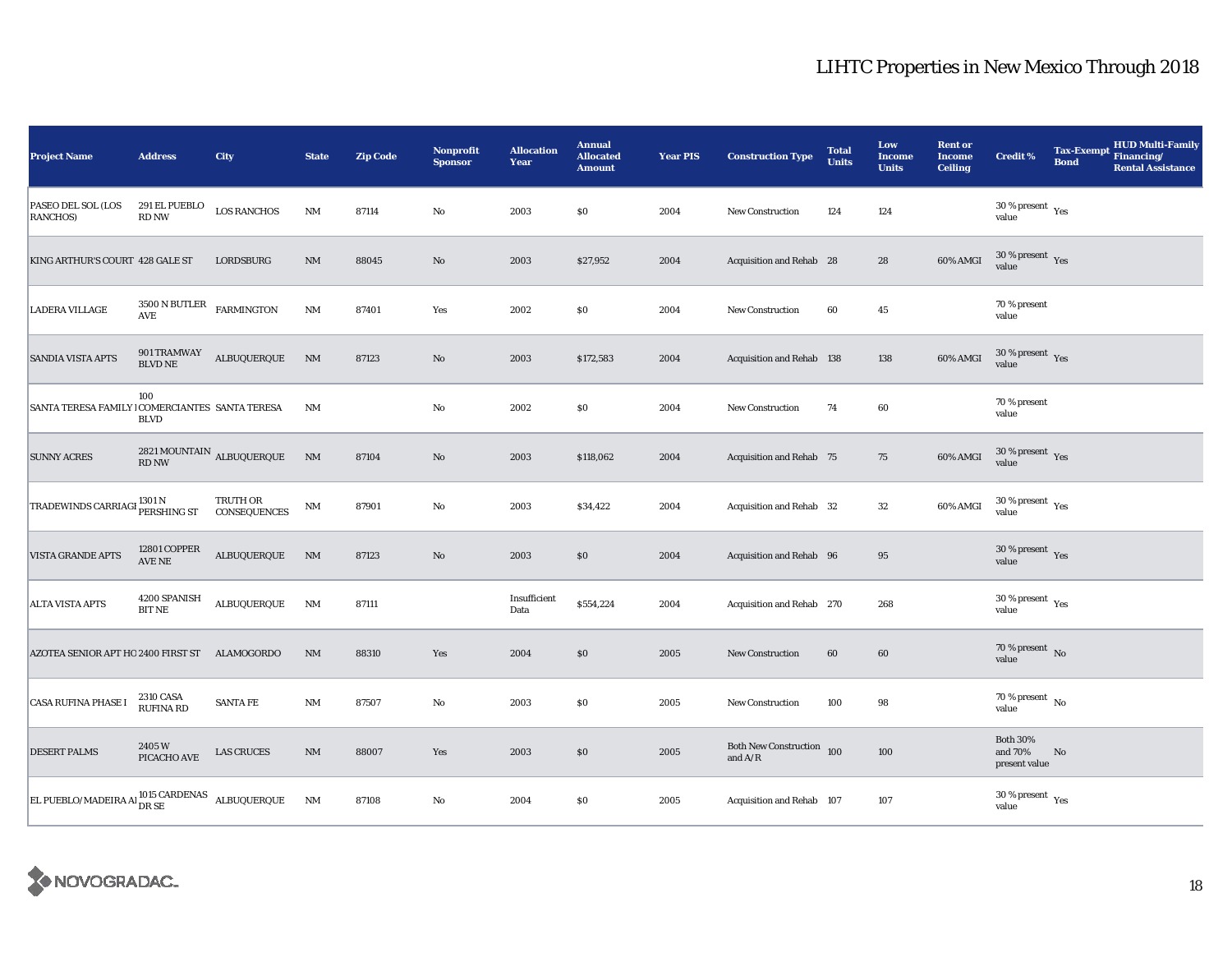| <b>Project Name</b>                                                   | <b>Address</b>                       | <b>City</b>                               | <b>State</b>           | <b>Zip Code</b> | Nonprofit<br><b>Sponsor</b> | <b>Allocation</b><br>Year | <b>Annual</b><br><b>Allocated</b><br><b>Amount</b> | <b>Year PIS</b> | <b>Construction Type</b>               | <b>Total</b><br><b>Units</b> | Low<br><b>Income</b><br><b>Units</b> | <b>Rent or</b><br><b>Income</b><br><b>Ceiling</b> | <b>Credit %</b>                             | <b>Tax-Exempt</b><br><b>Bond</b> | <b>HUD Multi-Family</b><br>Financing/<br><b>Rental Assistance</b> |
|-----------------------------------------------------------------------|--------------------------------------|-------------------------------------------|------------------------|-----------------|-----------------------------|---------------------------|----------------------------------------------------|-----------------|----------------------------------------|------------------------------|--------------------------------------|---------------------------------------------------|---------------------------------------------|----------------------------------|-------------------------------------------------------------------|
| PASEO DEL SOL (LOS<br>RANCHOS)                                        | 291 EL PUEBLO<br><b>RD NW</b>        | <b>LOS RANCHOS</b>                        | NM                     | 87114           | $\rm No$                    | 2003                      | $\$0$                                              | 2004            | New Construction                       | 124                          | 124                                  |                                                   | $30$ % present $\,$ $\rm Yes$<br>value      |                                  |                                                                   |
| KING ARTHUR'S COURT 428 GALE ST                                       |                                      | LORDSBURG                                 | NM                     | 88045           | $\rm No$                    | 2003                      | \$27,952                                           | 2004            | Acquisition and Rehab 28               |                              | 28                                   | 60% AMGI                                          | $30\,\%$ present $\,$ $\rm Yes$<br>value    |                                  |                                                                   |
| <b>LADERA VILLAGE</b>                                                 | 3500 N BUTLER<br><b>AVE</b>          | <b>FARMINGTON</b>                         | $\rm{NM}$              | 87401           | Yes                         | 2002                      | \$0\$                                              | 2004            | <b>New Construction</b>                | 60                           | 45                                   |                                                   | 70 % present<br>value                       |                                  |                                                                   |
| <b>SANDIA VISTA APTS</b>                                              | 901 TRAMWAY<br>BLVD NE               | ALBUQUERQUE                               | $\rm{NM}$              | 87123           | $\mathbf{No}$               | 2003                      | \$172,583                                          | 2004            | Acquisition and Rehab 138              |                              | 138                                  | 60% AMGI                                          | $30\,\%$ present $\,$ Yes value             |                                  |                                                                   |
| SANTA TERESA FAMILY   COMERCIANTES SANTA TERESA                       | 100<br><b>BLVD</b>                   |                                           | NM                     |                 | No                          | 2002                      | $\$0$                                              | 2004            | <b>New Construction</b>                | 74                           | 60                                   |                                                   | 70 % present<br>value                       |                                  |                                                                   |
| <b>SUNNY ACRES</b>                                                    |                                      | 2821 MOUNTAIN $\,$ ALBUQUERQUE $\,$ RD NW | $\mathbf{N}\mathbf{M}$ | 87104           | No                          | 2003                      | \$118,062                                          | 2004            | <b>Acquisition and Rehab 75</b>        |                              | 75                                   | 60% AMGI                                          | $30\,\%$ present $\,$ Yes value             |                                  |                                                                   |
| TRADEWINDS CARRIAGI <sup>1301 N</sup><br>PERSHING ST                  |                                      | TRUTH OR<br>CONSEQUENCES                  | $\mathbf{N}\mathbf{M}$ | 87901           | $\rm No$                    | 2003                      | \$34,422                                           | 2004            | Acquisition and Rehab 32               |                              | $32\,$                               | 60% AMGI                                          | $30\,\%$ present $\,$ Yes value             |                                  |                                                                   |
| <b>VISTA GRANDE APTS</b>                                              | 12801 COPPER<br>AVE NE               | ALBUQUERQUE                               | NM                     | 87123           | $\mathbf{No}$               | 2003                      | \$0                                                | 2004            | Acquisition and Rehab 96               |                              | 95                                   |                                                   | 30 % present $Yes$<br>value                 |                                  |                                                                   |
| ALTA VISTA APTS                                                       | 4200 SPANISH<br><b>BIT NE</b>        | ALBUQUERQUE                               | NM                     | 87111           |                             | Insufficient<br>Data      | \$554,224                                          | 2004            | Acquisition and Rehab 270              |                              | 268                                  |                                                   | $30$ % present $\,$ $\rm Yes$<br>value      |                                  |                                                                   |
| AZOTEA SENIOR APT HO 2400 FIRST ST ALAMOGORDO                         |                                      |                                           | NM                     | 88310           | Yes                         | 2004                      | \$0\$                                              | 2005            | <b>New Construction</b>                | 60                           | 60                                   |                                                   | 70 % present $\overline{N_0}$<br>value      |                                  |                                                                   |
| CASA RUFINA PHASE I                                                   | <b>2310 CASA</b><br><b>RUFINA RD</b> | <b>SANTA FE</b>                           | $\rm{NM}$              | 87507           | No                          | 2003                      | \$0                                                | 2005            | New Construction                       | 100                          | 98                                   |                                                   | 70 % present $\hbox{~No}$<br>value          |                                  |                                                                   |
| <b>DESERT PALMS</b>                                                   | 2405W<br>PICACHO AVE                 | <b>LAS CRUCES</b>                         | NM                     | 88007           | Yes                         | 2003                      | \$0\$                                              | 2005            | Both New Construction 100<br>and $A/R$ |                              | 100                                  |                                                   | <b>Both 30%</b><br>and 70%<br>present value | $\mathbf{N}\mathbf{o}$           |                                                                   |
| EL PUEBLO/MADEIRA A<br>l $^{1015}_{\text{DR} \text{ SE}}$ ALBUQUERQUE |                                      |                                           | NM                     | 87108           | No                          | 2004                      | $\$0$                                              | 2005            | Acquisition and Rehab 107              |                              | 107                                  |                                                   | $30\,\%$ present $\,$ $\rm Yes$<br>value    |                                  |                                                                   |

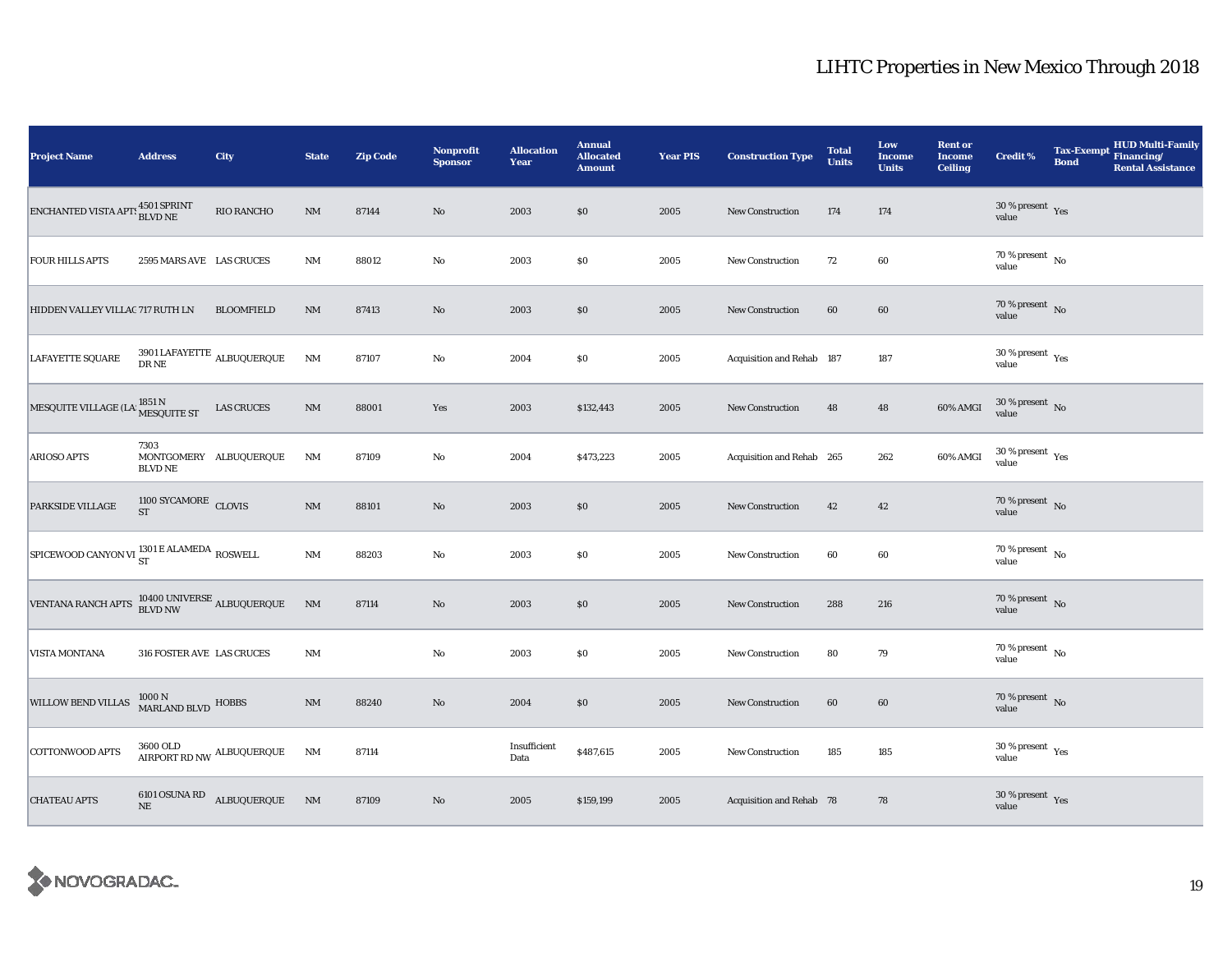| <b>Project Name</b>                                                                                     | <b>Address</b>                           | City                                   | <b>State</b>   | <b>Zip Code</b> | Nonprofit<br><b>Sponsor</b> | <b>Allocation</b><br>Year | <b>Annual</b><br><b>Allocated</b><br><b>Amount</b> | <b>Year PIS</b> | <b>Construction Type</b>  | <b>Total</b><br><b>Units</b> | Low<br><b>Income</b><br><b>Units</b> | <b>Rent or</b><br><b>Income</b><br><b>Ceiling</b> | <b>Credit %</b>                        | <b>Tax-Exempt</b><br><b>Bond</b> | HUD Multi-Family<br>Financing/<br><b>Rental Assistance</b> |
|---------------------------------------------------------------------------------------------------------|------------------------------------------|----------------------------------------|----------------|-----------------|-----------------------------|---------------------------|----------------------------------------------------|-----------------|---------------------------|------------------------------|--------------------------------------|---------------------------------------------------|----------------------------------------|----------------------------------|------------------------------------------------------------|
| ${\rm ENCHANTED\,VISTA\,APT:}\, \begin{matrix} 4501\,\text{SPRINT}\\ \text{BLVD\, NE} \end{matrix}$     |                                          | <b>RIO RANCHO</b>                      | $\rm{NM}$      | 87144           | $\rm No$                    | 2003                      | \$0                                                | 2005            | New Construction          | 174                          | 174                                  |                                                   | $30$ % present $\,$ $\rm Yes$<br>value |                                  |                                                            |
| <b>FOUR HILLS APTS</b>                                                                                  | 2595 MARS AVE LAS CRUCES                 |                                        | <b>NM</b>      | 88012           | No                          | 2003                      | \$0                                                | 2005            | New Construction          | 72                           | 60                                   |                                                   | 70 % present $\,$ No $\,$<br>value     |                                  |                                                            |
| HIDDEN VALLEY VILLAC 717 RUTH LN                                                                        |                                          | <b>BLOOMFIELD</b>                      | $\rm{NM}$      | 87413           | $\rm No$                    | 2003                      | $\$0$                                              | 2005            | <b>New Construction</b>   | 60                           | 60                                   |                                                   | $70$ % present $_{\rm{No}}$            |                                  |                                                            |
| <b>LAFAYETTE SQUARE</b>                                                                                 |                                          | 3901 LAFAYETTE $_{\mbox{ALBUQUERQUE}}$ | <b>NM</b>      | 87107           | $\rm No$                    | 2004                      | \$0                                                | 2005            | Acquisition and Rehab 187 |                              | 187                                  |                                                   | $30\,\%$ present $\,$ Yes value        |                                  |                                                            |
| MESQUITE VILLAGE (LA 1851 N<br>MESQUITE ST                                                              |                                          | <b>LAS CRUCES</b>                      | $\mathbf{NM}$  | 88001           | Yes                         | 2003                      | \$132,443                                          | 2005            | <b>New Construction</b>   | 48                           | 48                                   | 60% AMGI                                          | $30\,\%$ present $\,$ No value         |                                  |                                                            |
| <b>ARIOSO APTS</b>                                                                                      | 7303<br><b>BLVD NE</b>                   | MONTGOMERY ALBUQUERQUE                 | NM             | 87109           | No                          | 2004                      | \$473,223                                          | 2005            | Acquisition and Rehab 265 |                              | 262                                  | 60% AMGI                                          | $30\,\%$ present $\,$ Yes value        |                                  |                                                            |
| PARKSIDE VILLAGE                                                                                        | $1100$ SYCAMORE $\,$ CLOVIS<br><b>ST</b> |                                        | $\rm{NM}$      | 88101           | $\rm No$                    | 2003                      | $\$0$                                              | 2005            | <b>New Construction</b>   | 42                           | $\bf 42$                             |                                                   | $70$ % present $$\rm{No}$$ value       |                                  |                                                            |
| SPICEWOOD CANYON VI <sup>1301</sup> E ALAMEDA ROSWELL                                                   |                                          |                                        | <b>NM</b>      | 88203           | No                          | 2003                      | $\$0$                                              | 2005            | <b>New Construction</b>   | 60                           | 60                                   |                                                   | $70$ % present $\,$ No $\,$<br>value   |                                  |                                                            |
| VENTANA RANCH APTS $\begin{array}{cc} 10400 \text{ UNIVERSE} \\ \text{BLVD NW} \end{array}$ ALBUQUERQUE |                                          |                                        | N <sub>M</sub> | 87114           | $\rm No$                    | 2003                      | \$0                                                | 2005            | <b>New Construction</b>   | 288                          | 216                                  |                                                   | $70\,\%$ present $\,$ No value         |                                  |                                                            |
| <b>VISTA MONTANA</b>                                                                                    | 316 FOSTER AVE LAS CRUCES                |                                        | <b>NM</b>      |                 | No                          | 2003                      | \$0                                                | 2005            | <b>New Construction</b>   | 80                           | 79                                   |                                                   | $70$ % present $\,$ No $\,$<br>value   |                                  |                                                            |
| WILLOW BEND VILLAS                                                                                      | $1000$ N $$\rm{MARLAND}$ HOBBS           |                                        | $\rm{NM}$      | 88240           | $\mathbf{No}$               | 2004                      | \$0                                                | 2005            | New Construction          | 60                           | 60                                   |                                                   | $70\,\%$ present $\,$ No value         |                                  |                                                            |
| <b>COTTONWOOD APTS</b>                                                                                  | 3600 OLD                                 | AIRPORT RD NW ALBUQUERQUE              | NM             | 87114           |                             | Insufficient<br>Data      | \$487,615                                          | 2005            | New Construction          | 185                          | 185                                  |                                                   | $30$ % present $\,$ $\rm Yes$<br>value |                                  |                                                            |
| <b>CHATEAU APTS</b>                                                                                     | $\rm NE$                                 | 6101 OSUNA RD<br>ALBUQUERQUE           | N <sub>M</sub> | 87109           | $\rm No$                    | 2005                      | \$159,199                                          | 2005            | Acquisition and Rehab 78  |                              | 78                                   |                                                   | $30\,\%$ present $\,$ Yes value        |                                  |                                                            |

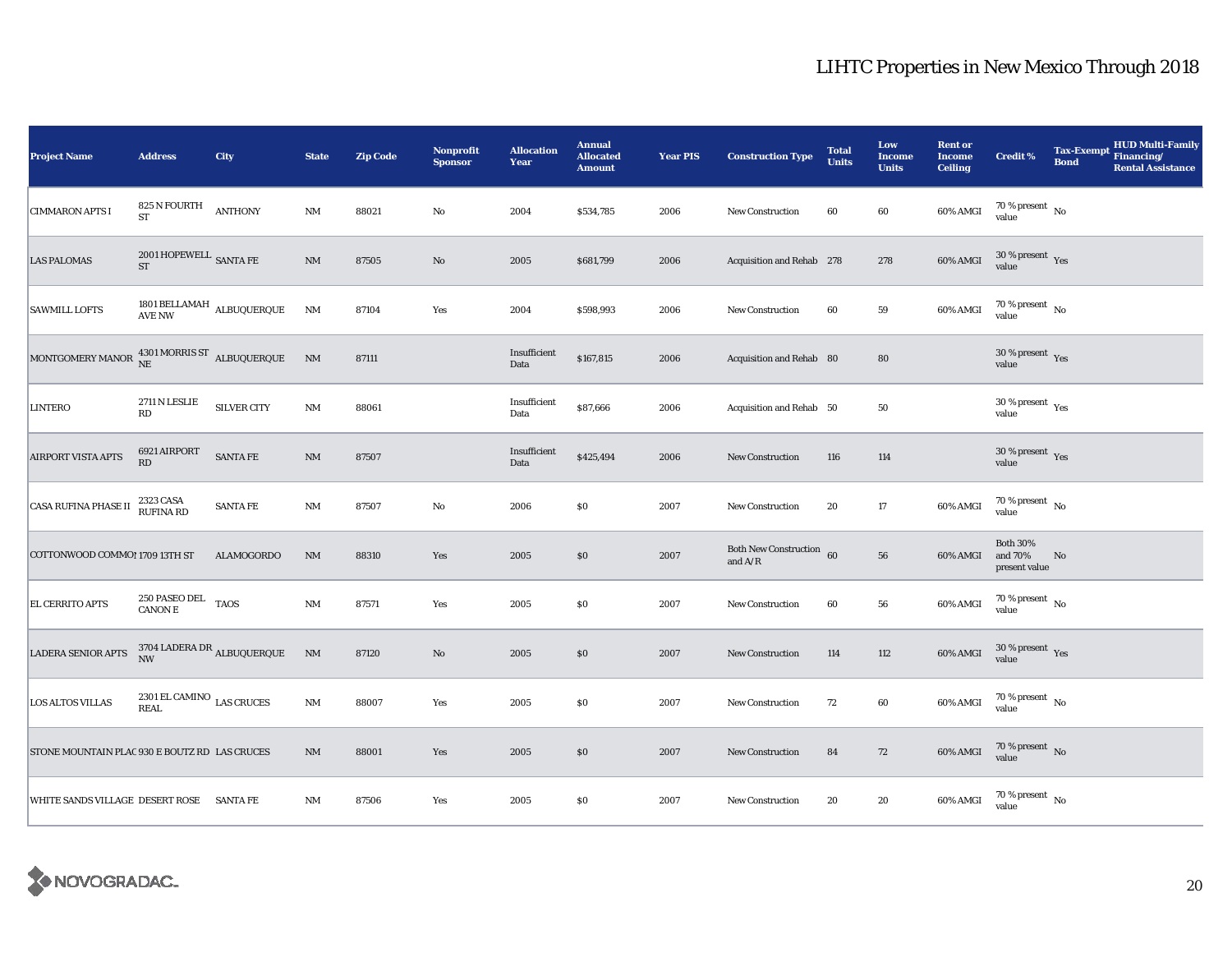| <b>Project Name</b>                                                | <b>Address</b>                                    | City                                                                                  | <b>State</b>           | <b>Zip Code</b> | Nonprofit<br><b>Sponsor</b> | <b>Allocation</b><br>Year | <b>Annual</b><br><b>Allocated</b><br><b>Amount</b> | <b>Year PIS</b> | <b>Construction Type</b>                      | <b>Total</b><br><b>Units</b> | Low<br><b>Income</b><br><b>Units</b> | <b>Rent or</b><br><b>Income</b><br><b>Ceiling</b> | <b>Credit %</b>                             | <b>Tax-Exempt</b><br><b>Bond</b> | HUD Multi-Family<br>Financing/<br><b>Rental Assistance</b> |
|--------------------------------------------------------------------|---------------------------------------------------|---------------------------------------------------------------------------------------|------------------------|-----------------|-----------------------------|---------------------------|----------------------------------------------------|-----------------|-----------------------------------------------|------------------------------|--------------------------------------|---------------------------------------------------|---------------------------------------------|----------------------------------|------------------------------------------------------------|
| <b>CIMMARON APTS I</b>                                             | 825 N FOURTH<br><b>ST</b>                         | <b>ANTHONY</b>                                                                        | <b>NM</b>              | 88021           | $\rm No$                    | 2004                      | \$534,785                                          | 2006            | <b>New Construction</b>                       | 60                           | 60                                   | 60% AMGI                                          | 70 % present $\hbox{~No}$<br>value          |                                  |                                                            |
| <b>LAS PALOMAS</b>                                                 | $2001$ HOPEWELL $\,$ SANTA FE<br>${\rm ST}$       |                                                                                       | $\mathbf{N}\mathbf{M}$ | 87505           | $\rm No$                    | 2005                      | \$681,799                                          | 2006            | Acquisition and Rehab 278                     |                              | 278                                  | 60% AMGI                                          | $30\,\%$ present $\,$ Yes value             |                                  |                                                            |
| <b>SAWMILL LOFTS</b>                                               |                                                   | 1801 BELLAMAH ALBUQUERQUE AVE NW                                                      | <b>NM</b>              | 87104           | Yes                         | 2004                      | \$598,993                                          | 2006            | <b>New Construction</b>                       | 60                           | ${\bf 59}$                           | 60% AMGI                                          | $70\,\%$ present $\,$ No value              |                                  |                                                            |
| MONTGOMERY MANOR $^{4301\, \rm{MORRIS\,ST}}_{\rm{NE}}$ ALBUQUERQUE |                                                   |                                                                                       | N <sub>M</sub>         | 87111           |                             | Insufficient<br>Data      | \$167,815                                          | 2006            | Acquisition and Rehab 80                      |                              | 80                                   |                                                   | $30\,\%$ present $\,$ Yes value             |                                  |                                                            |
| <b>LINTERO</b>                                                     | 2711 N LESLIE<br>RD                               | SILVER CITY                                                                           | NM                     | 88061           |                             | Insufficient<br>Data      | \$87,666                                           | 2006            | Acquisition and Rehab 50                      |                              | ${\bf 50}$                           |                                                   | $30\,\%$ present $\,$ Yes value             |                                  |                                                            |
| <b>AIRPORT VISTA APTS</b>                                          | 6921 AIRPORT<br>RD                                | SANTA FE                                                                              | $\mathbf{N}\mathbf{M}$ | 87507           |                             | Insufficient<br>Data      | \$425,494                                          | 2006            | New Construction                              | 116                          | 114                                  |                                                   | $30$ % present $\,$ $\rm Yes$<br>value      |                                  |                                                            |
| <b>CASA RUFINA PHASE II</b>                                        | 2323 CASA<br>RUFINA RD                            | <b>SANTA FE</b>                                                                       | <b>NM</b>              | 87507           | No                          | 2006                      | \$0                                                | 2007            | New Construction                              | 20                           | $17\,$                               | 60% AMGI                                          | $70\,\%$ present $\,$ No value              |                                  |                                                            |
| COTTONWOOD COMMO! 1709 13TH ST                                     |                                                   | ALAMOGORDO                                                                            | <b>NM</b>              | 88310           | Yes                         | 2005                      | $\$0$                                              | 2007            | ${\hbox{Both}}$ New Construction<br>and $A/R$ | 60                           | 56                                   | 60% AMGI                                          | <b>Both 30%</b><br>and 70%<br>present value | No                               |                                                            |
| EL CERRITO APTS                                                    | $250$ PASEO DEL $_{\rm TAOS}$                     |                                                                                       | <b>NM</b>              | 87571           | Yes                         | 2005                      | $\$0$                                              | 2007            | <b>New Construction</b>                       | 60                           | ${\bf 56}$                           | 60% AMGI                                          | $70\,\%$ present $\,$ No $\,$<br>value      |                                  |                                                            |
| <b>LADERA SENIOR APTS</b>                                          | <b>NW</b>                                         | $\begin{array}{lll} 3704 \text{ LADERA DR} & & \\ & \text{ALEUQUERQUE} & \end{array}$ | NM                     | 87120           | $\rm No$                    | 2005                      | $\$0$                                              | 2007            | <b>New Construction</b>                       | 114                          | 112                                  | 60% AMGI                                          | $30\,\%$ present $\,$ Yes value             |                                  |                                                            |
| <b>LOS ALTOS VILLAS</b>                                            | 2301 EL CAMINO $_{\rm LAS}$ CRUCES<br><b>REAL</b> |                                                                                       | <b>NM</b>              | 88007           | Yes                         | 2005                      | $\$0$                                              | 2007            | New Construction                              | 72                           | $60\,$                               | 60% AMGI                                          | 70 % present $\hbox{~No}$<br>value          |                                  |                                                            |
| STONE MOUNTAIN PLAC 930 E BOUTZ RD LAS CRUCES                      |                                                   |                                                                                       | $\mathbf{NM}$          | 88001           | Yes                         | 2005                      | $\$0$                                              | 2007            | New Construction                              | 84                           | 72                                   | 60% AMGI                                          | $70$ % present $_{\rm{No}}$                 |                                  |                                                            |
| <b>WHITE SANDS VILLAGE DESERT ROSE</b>                             |                                                   | <b>SANTA FE</b>                                                                       | <b>NM</b>              | 87506           | Yes                         | 2005                      | \$0                                                | 2007            | <b>New Construction</b>                       | 20                           | 20                                   | 60% AMGI                                          | $70$ % present $_{\rm{No}}$                 |                                  |                                                            |